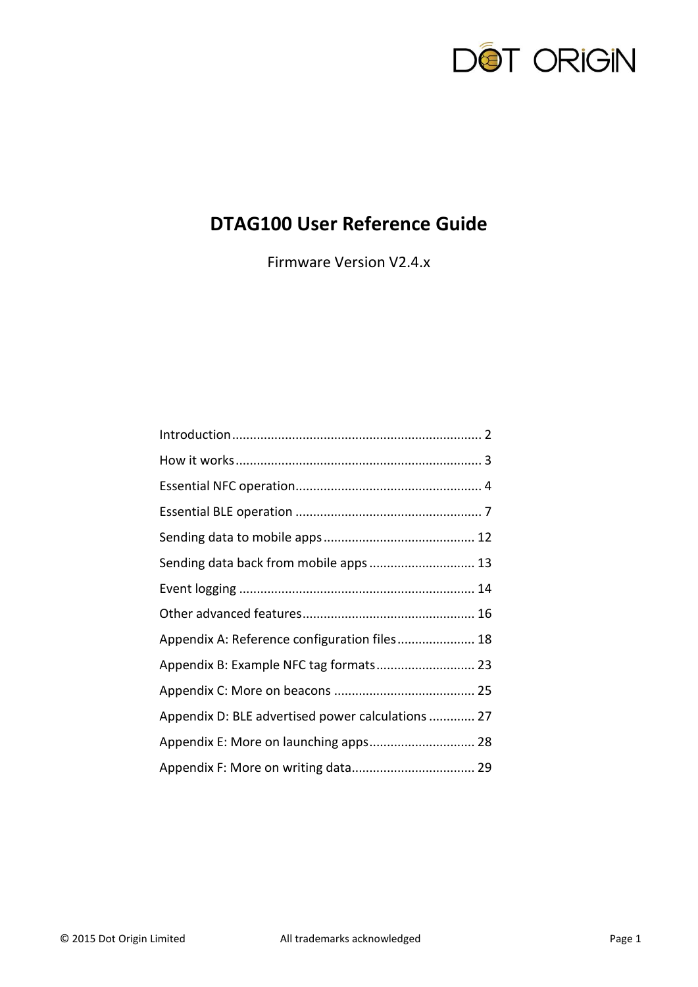

# **DTAG100 User Reference Guide**

Firmware Version V2.4.x

| Sending data back from mobile apps  13            |  |
|---------------------------------------------------|--|
|                                                   |  |
|                                                   |  |
| Appendix A: Reference configuration files 18      |  |
| Appendix B: Example NFC tag formats 23            |  |
|                                                   |  |
| Appendix D: BLE advertised power calculations  27 |  |
| Appendix E: More on launching apps 28             |  |
|                                                   |  |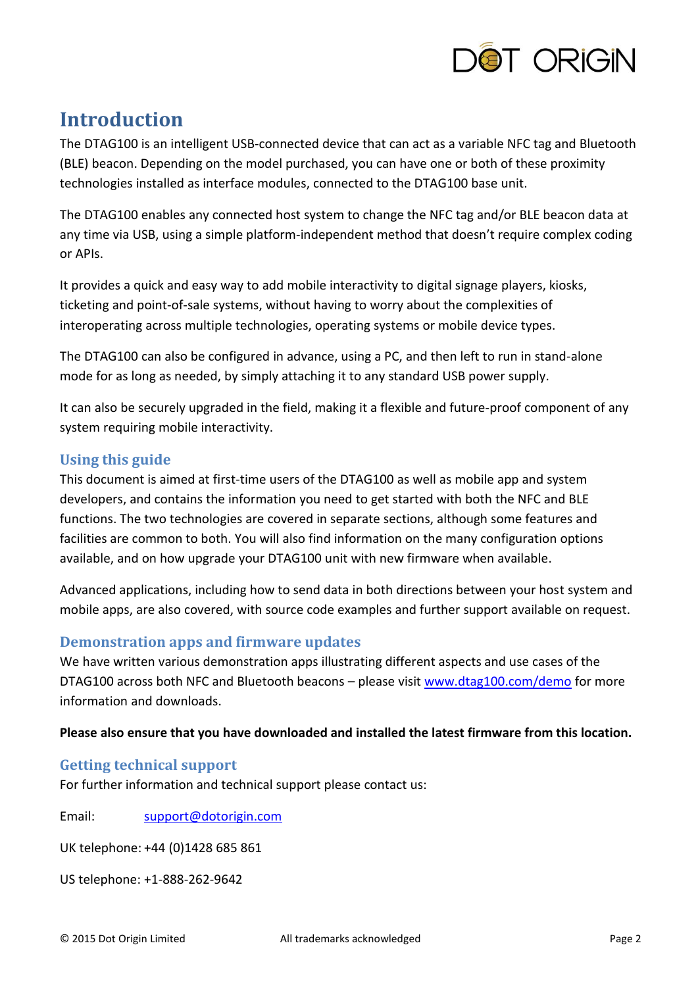

# <span id="page-1-0"></span>**Introduction**

The DTAG100 is an intelligent USB-connected device that can act as a variable NFC tag and Bluetooth (BLE) beacon. Depending on the model purchased, you can have one or both of these proximity technologies installed as interface modules, connected to the DTAG100 base unit.

The DTAG100 enables any connected host system to change the NFC tag and/or BLE beacon data at any time via USB, using a simple platform-independent method that doesn't require complex coding or APIs.

It provides a quick and easy way to add mobile interactivity to digital signage players, kiosks, ticketing and point-of-sale systems, without having to worry about the complexities of interoperating across multiple technologies, operating systems or mobile device types.

The DTAG100 can also be configured in advance, using a PC, and then left to run in stand-alone mode for as long as needed, by simply attaching it to any standard USB power supply.

It can also be securely upgraded in the field, making it a flexible and future-proof component of any system requiring mobile interactivity.

# **Using this guide**

This document is aimed at first-time users of the DTAG100 as well as mobile app and system developers, and contains the information you need to get started with both the NFC and BLE functions. The two technologies are covered in separate sections, although some features and facilities are common to both. You will also find information on the many configuration options available, and on how upgrade your DTAG100 unit with new firmware when available.

Advanced applications, including how to send data in both directions between your host system and mobile apps, are also covered, with source code examples and further support available on request.

# **Demonstration apps and firmware updates**

We have written various demonstration apps illustrating different aspects and use cases of the DTAG100 across both NFC and Bluetooth beacons - please visit [www.dtag100.com/demo](http://www.dtag100.com/demo) for more information and downloads.

### **Please also ensure that you have downloaded and installed the latest firmware from this location.**

# **Getting technical support**

For further information and technical support please contact us:

Email: [support@dotorigin.com](mailto:support@dotorigin.com)

UK telephone: +44 (0)1428 685 861

US telephone: +1-888-262-9642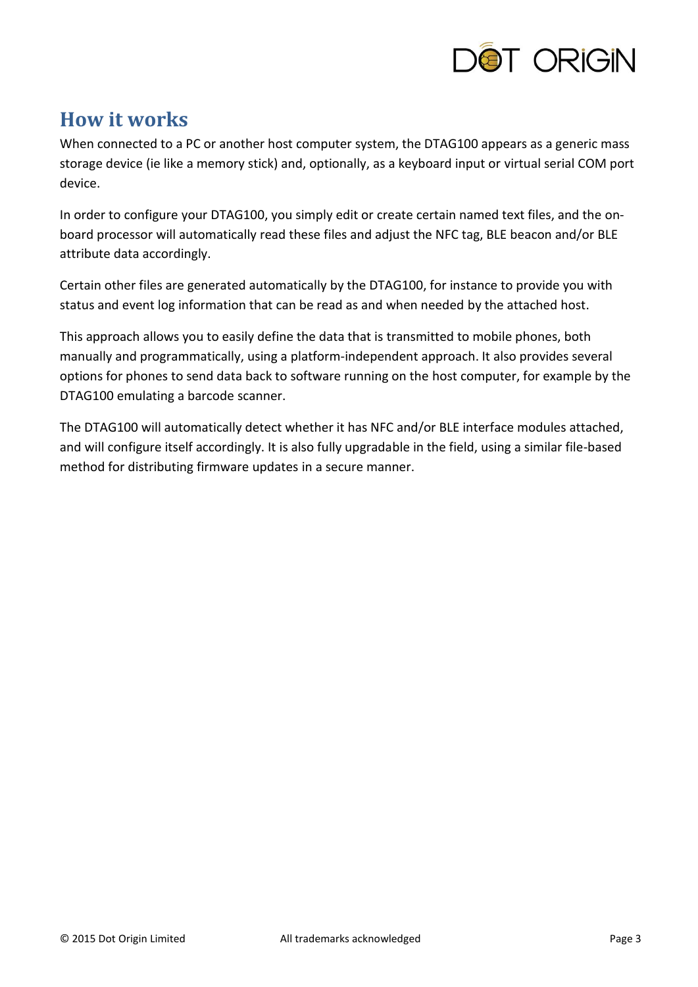

# <span id="page-2-0"></span>**How it works**

When connected to a PC or another host computer system, the DTAG100 appears as a generic mass storage device (ie like a memory stick) and, optionally, as a keyboard input or virtual serial COM port device.

In order to configure your DTAG100, you simply edit or create certain named text files, and the onboard processor will automatically read these files and adjust the NFC tag, BLE beacon and/or BLE attribute data accordingly.

Certain other files are generated automatically by the DTAG100, for instance to provide you with status and event log information that can be read as and when needed by the attached host.

This approach allows you to easily define the data that is transmitted to mobile phones, both manually and programmatically, using a platform-independent approach. It also provides several options for phones to send data back to software running on the host computer, for example by the DTAG100 emulating a barcode scanner.

The DTAG100 will automatically detect whether it has NFC and/or BLE interface modules attached, and will configure itself accordingly. It is also fully upgradable in the field, using a similar file-based method for distributing firmware updates in a secure manner.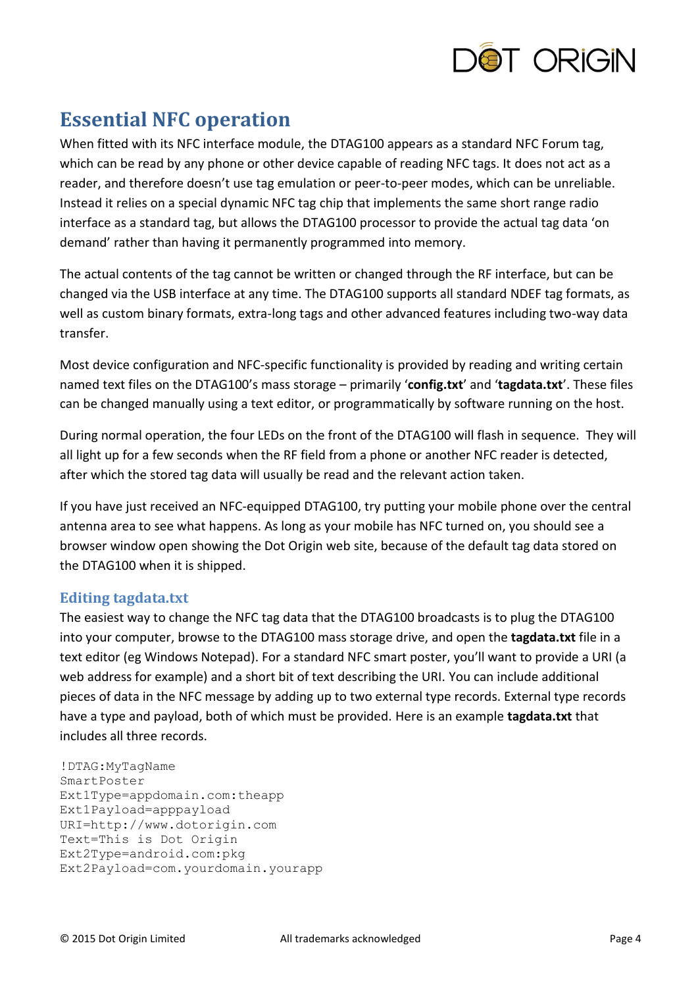

# <span id="page-3-0"></span>**Essential NFC operation**

When fitted with its NFC interface module, the DTAG100 appears as a standard NFC Forum tag, which can be read by any phone or other device capable of reading NFC tags. It does not act as a reader, and therefore doesn't use tag emulation or peer-to-peer modes, which can be unreliable. Instead it relies on a special dynamic NFC tag chip that implements the same short range radio interface as a standard tag, but allows the DTAG100 processor to provide the actual tag data 'on demand' rather than having it permanently programmed into memory.

The actual contents of the tag cannot be written or changed through the RF interface, but can be changed via the USB interface at any time. The DTAG100 supports all standard NDEF tag formats, as well as custom binary formats, extra-long tags and other advanced features including two-way data transfer.

Most device configuration and NFC-specific functionality is provided by reading and writing certain named text files on the DTAG100's mass storage – primarily '**config.txt**' and '**tagdata.txt**'. These files can be changed manually using a text editor, or programmatically by software running on the host.

During normal operation, the four LEDs on the front of the DTAG100 will flash in sequence. They will all light up for a few seconds when the RF field from a phone or another NFC reader is detected, after which the stored tag data will usually be read and the relevant action taken.

If you have just received an NFC-equipped DTAG100, try putting your mobile phone over the central antenna area to see what happens. As long as your mobile has NFC turned on, you should see a browser window open showing the Dot Origin web site, because of the default tag data stored on the DTAG100 when it is shipped.

### **Editing tagdata.txt**

The easiest way to change the NFC tag data that the DTAG100 broadcasts is to plug the DTAG100 into your computer, browse to the DTAG100 mass storage drive, and open the **tagdata.txt** file in a text editor (eg Windows Notepad). For a standard NFC smart poster, you'll want to provide a URI (a web address for example) and a short bit of text describing the URI. You can include additional pieces of data in the NFC message by adding up to two external type records. External type records have a type and payload, both of which must be provided. Here is an example **tagdata.txt** that includes all three records.

```
!DTAG:MyTagName
SmartPoster
Ext1Type=appdomain.com:theapp
Ext1Payload=apppayload 
URI=http://www.dotorigin.com
Text=This is Dot Origin
Ext2Type=android.com:pkg
Ext2Payload=com.yourdomain.yourapp
```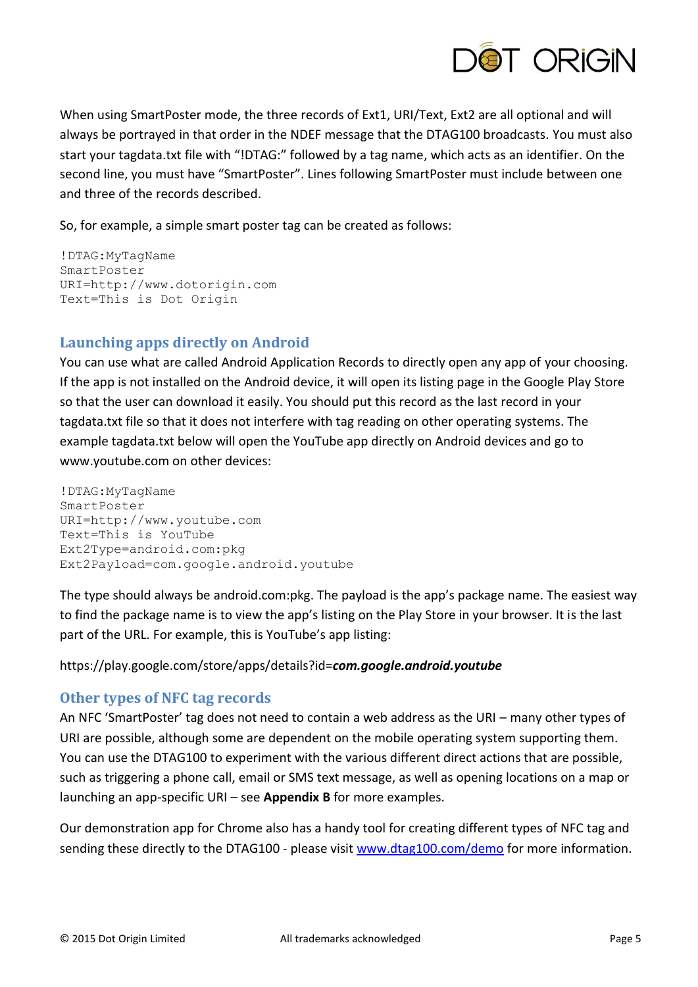

When using SmartPoster mode, the three records of Ext1, URI/Text, Ext2 are all optional and will always be portrayed in that order in the NDEF message that the DTAG100 broadcasts. You must also start your tagdata.txt file with "!DTAG:" followed by a tag name, which acts as an identifier. On the second line, you must have "SmartPoster". Lines following SmartPoster must include between one and three of the records described.

So, for example, a simple smart poster tag can be created as follows:

```
!DTAG:MyTagName
SmartPoster
URI=http://www.dotorigin.com
Text=This is Dot Origin
```
# **Launching apps directly on Android**

You can use what are called Android Application Records to directly open any app of your choosing. If the app is not installed on the Android device, it will open its listing page in the Google Play Store so that the user can download it easily. You should put this record as the last record in your tagdata.txt file so that it does not interfere with tag reading on other operating systems. The example tagdata.txt below will open the YouTube app directly on Android devices and go to www.youtube.com on other devices:

!DTAG:MyTagName SmartPoster URI=http://www.youtube.com Text=This is YouTube Ext2Type=android.com:pkg Ext2Payload=com.google.android.youtube

The type should always be android.com:pkg. The payload is the app's package name. The easiest way to find the package name is to view the app's listing on the Play Store in your browser. It is the last part of the URL. For example, this is YouTube's app listing:

#### https://play.google.com/store/apps/details?id=*com.google.android.youtube*

### **Other types of NFC tag records**

An NFC 'SmartPoster' tag does not need to contain a web address as the URI – many other types of URI are possible, although some are dependent on the mobile operating system supporting them. You can use the DTAG100 to experiment with the various different direct actions that are possible, such as triggering a phone call, email or SMS text message, as well as opening locations on a map or launching an app-specific URI – see **Appendix B** for more examples.

Our demonstration app for Chrome also has a handy tool for creating different types of NFC tag and sending these directly to the DTAG100 - please visit [www.dtag100.com/demo](http://www.dtag100.com/demo) for more information.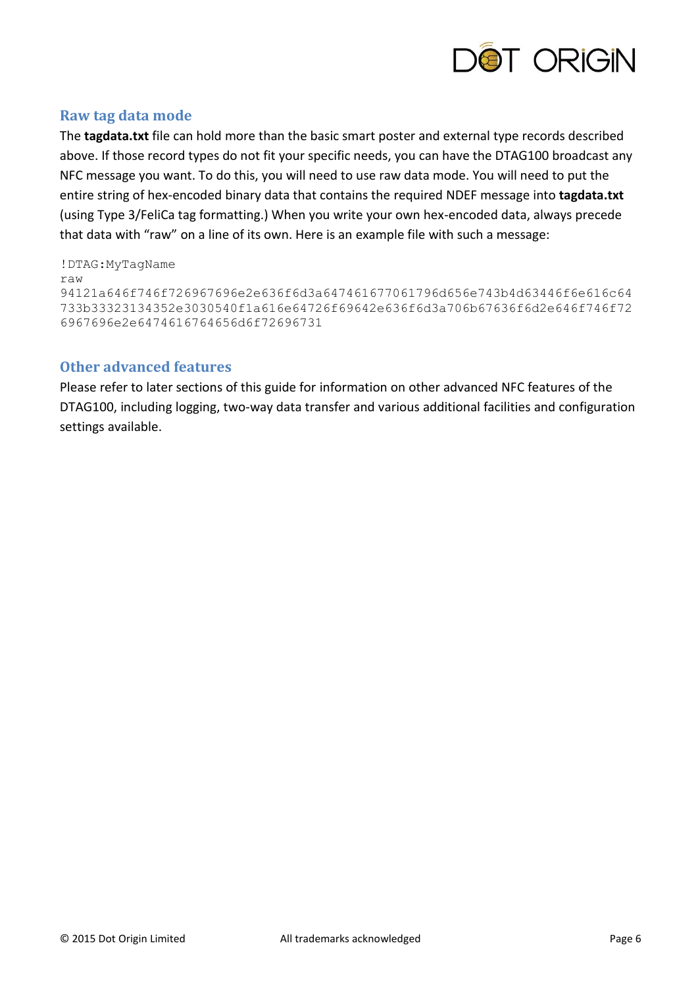

### **Raw tag data mode**

The **tagdata.txt** file can hold more than the basic smart poster and external type records described above. If those record types do not fit your specific needs, you can have the DTAG100 broadcast any NFC message you want. To do this, you will need to use raw data mode. You will need to put the entire string of hex-encoded binary data that contains the required NDEF message into **tagdata.txt** (using Type 3/FeliCa tag formatting.) When you write your own hex-encoded data, always precede that data with "raw" on a line of its own. Here is an example file with such a message:

!DTAG:MyTagName raw 94121a646f746f726967696e2e636f6d3a647461677061796d656e743b4d63446f6e616c64 733b33323134352e3030540f1a616e64726f69642e636f6d3a706b67636f6d2e646f746f72 6967696e2e6474616764656d6f72696731

#### **Other advanced features**

Please refer to later sections of this guide for information on other advanced NFC features of the DTAG100, including logging, two-way data transfer and various additional facilities and configuration settings available.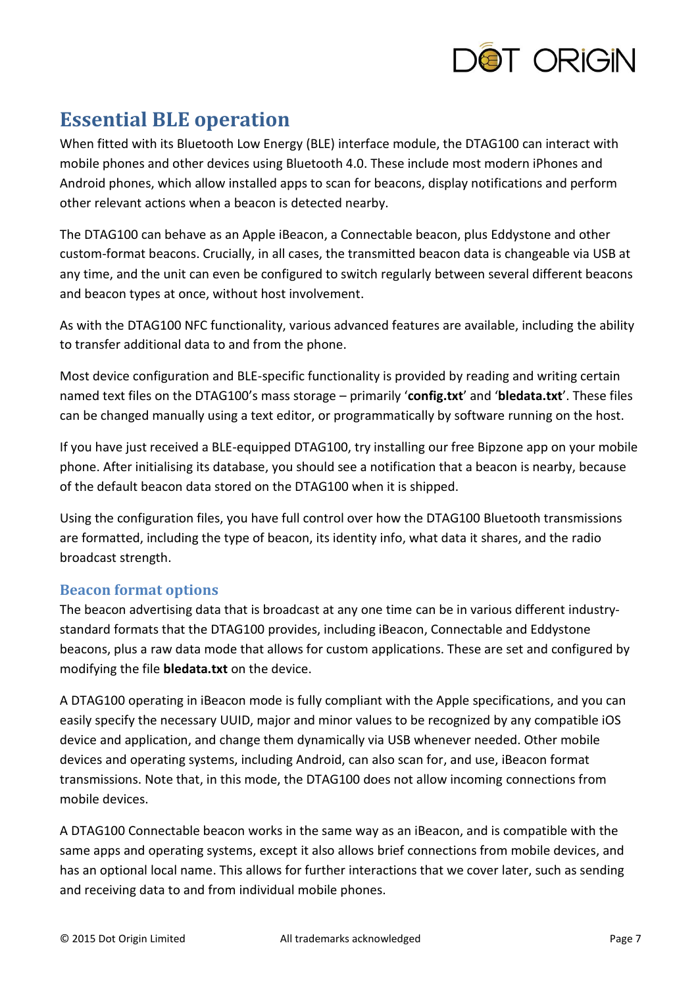

# <span id="page-6-0"></span>**Essential BLE operation**

When fitted with its Bluetooth Low Energy (BLE) interface module, the DTAG100 can interact with mobile phones and other devices using Bluetooth 4.0. These include most modern iPhones and Android phones, which allow installed apps to scan for beacons, display notifications and perform other relevant actions when a beacon is detected nearby.

The DTAG100 can behave as an Apple iBeacon, a Connectable beacon, plus Eddystone and other custom-format beacons. Crucially, in all cases, the transmitted beacon data is changeable via USB at any time, and the unit can even be configured to switch regularly between several different beacons and beacon types at once, without host involvement.

As with the DTAG100 NFC functionality, various advanced features are available, including the ability to transfer additional data to and from the phone.

Most device configuration and BLE-specific functionality is provided by reading and writing certain named text files on the DTAG100's mass storage – primarily '**config.txt**' and '**bledata.txt**'. These files can be changed manually using a text editor, or programmatically by software running on the host.

If you have just received a BLE-equipped DTAG100, try installing our free Bipzone app on your mobile phone. After initialising its database, you should see a notification that a beacon is nearby, because of the default beacon data stored on the DTAG100 when it is shipped.

Using the configuration files, you have full control over how the DTAG100 Bluetooth transmissions are formatted, including the type of beacon, its identity info, what data it shares, and the radio broadcast strength.

# **Beacon format options**

The beacon advertising data that is broadcast at any one time can be in various different industrystandard formats that the DTAG100 provides, including iBeacon, Connectable and Eddystone beacons, plus a raw data mode that allows for custom applications. These are set and configured by modifying the file **bledata.txt** on the device.

A DTAG100 operating in iBeacon mode is fully compliant with the Apple specifications, and you can easily specify the necessary UUID, major and minor values to be recognized by any compatible iOS device and application, and change them dynamically via USB whenever needed. Other mobile devices and operating systems, including Android, can also scan for, and use, iBeacon format transmissions. Note that, in this mode, the DTAG100 does not allow incoming connections from mobile devices.

A DTAG100 Connectable beacon works in the same way as an iBeacon, and is compatible with the same apps and operating systems, except it also allows brief connections from mobile devices, and has an optional local name. This allows for further interactions that we cover later, such as sending and receiving data to and from individual mobile phones.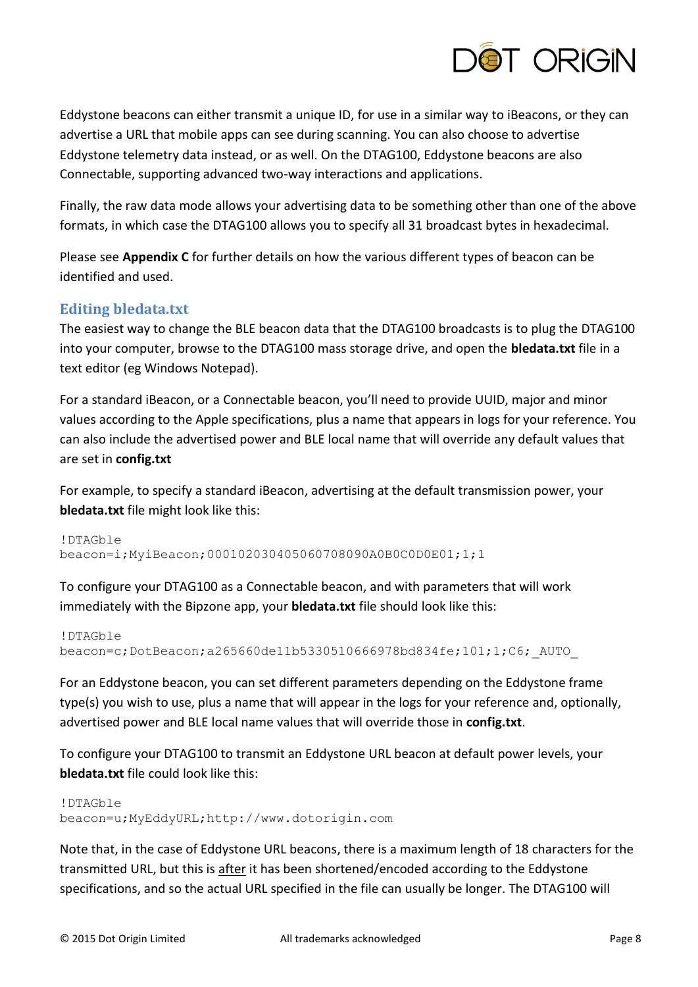

Eddystone beacons can either transmit a unique ID, for use in a similar way to iBeacons, or they can advertise a URL that mobile apps can see during scanning. You can also choose to advertise Eddystone telemetry data instead, or as well. On the DTAG100, Eddystone beacons are also Connectable, supporting advanced two-way interactions and applications.

Finally, the raw data mode allows your advertising data to be something other than one of the above formats, in which case the DTAG100 allows you to specify all 31 broadcast bytes in hexadecimal.

Please see **Appendix C** for further details on how the various different types of beacon can be identified and used.

### **Editing bledata.txt**

The easiest way to change the BLE beacon data that the DTAG100 broadcasts is to plug the DTAG100 into your computer, browse to the DTAG100 mass storage drive, and open the **bledata.txt** file in a text editor (eg Windows Notepad).

For a standard iBeacon, or a Connectable beacon, you'll need to provide UUID, major and minor values according to the Apple specifications, plus a name that appears in logs for your reference. You can also include the advertised power and BLE local name that will override any default values that are set in **config.txt**

For example, to specify a standard iBeacon, advertising at the default transmission power, your **bledata.txt** file might look like this:

```
!DTAGble
beacon=i;MyiBeacon;000102030405060708090A0B0C0D0E01;1;1
```
To configure your DTAG100 as a Connectable beacon, and with parameters that will work immediately with the Bipzone app, your **bledata.txt** file should look like this:

```
!DTAGble
beacon=c;DotBeacon;a265660de11b5330510666978bd834fe;101;1;C6;_AUTO_
```
For an Eddystone beacon, you can set different parameters depending on the Eddystone frame type(s) you wish to use, plus a name that will appear in the logs for your reference and, optionally, advertised power and BLE local name values that will override those in **config.txt**.

To configure your DTAG100 to transmit an Eddystone URL beacon at default power levels, your **bledata.txt** file could look like this:

```
!DTAGble 
beacon=u;MyEddyURL;http://www.dotorigin.com
```
Note that, in the case of Eddystone URL beacons, there is a maximum length of 18 characters for the transmitted URL, but this is after it has been shortened/encoded according to the Eddystone specifications, and so the actual URL specified in the file can usually be longer. The DTAG100 will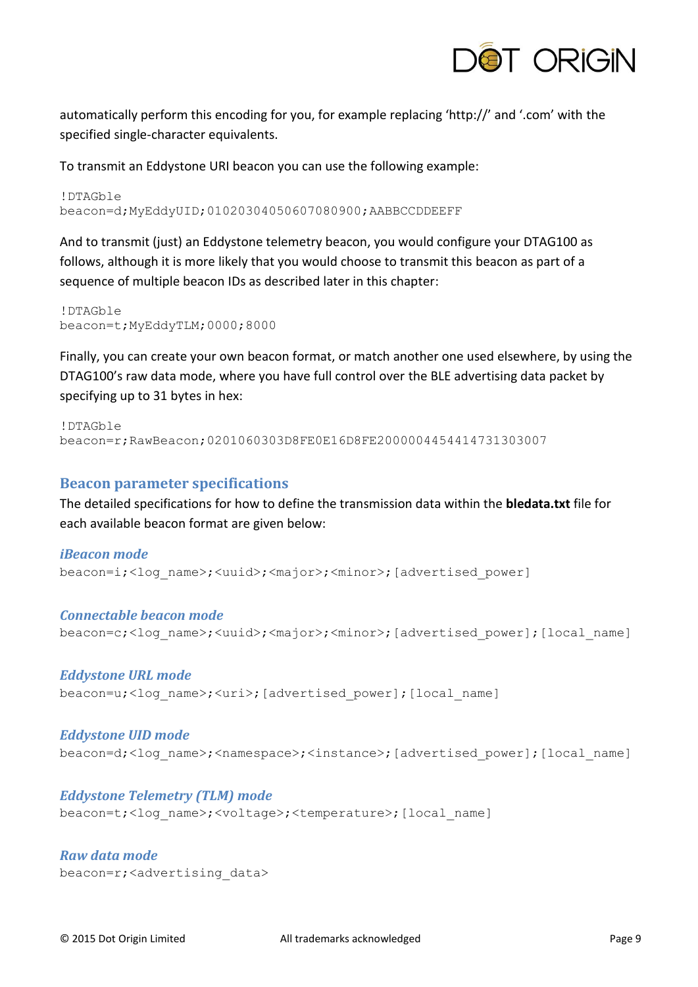

automatically perform this encoding for you, for example replacing 'http://' and '.com' with the specified single-character equivalents.

To transmit an Eddystone URI beacon you can use the following example:

!DTAGble beacon=d;MyEddyUID;01020304050607080900;AABBCCDDEEFF

And to transmit (just) an Eddystone telemetry beacon, you would configure your DTAG100 as follows, although it is more likely that you would choose to transmit this beacon as part of a sequence of multiple beacon IDs as described later in this chapter:

!DTAGble beacon=t;MyEddyTLM;0000;8000

Finally, you can create your own beacon format, or match another one used elsewhere, by using the DTAG100's raw data mode, where you have full control over the BLE advertising data packet by specifying up to 31 bytes in hex:

```
!DTAGble 
beacon=r;RawBeacon;0201060303D8FE0E16D8FE2000004454414731303007
```
#### **Beacon parameter specifications**

The detailed specifications for how to define the transmission data within the **bledata.txt** file for each available beacon format are given below:

#### *iBeacon mode*

beacon=i;<log\_name>;<uuid>;<major>;<minor>;[advertised\_power]

#### *Connectable beacon mode*

beacon=c;<log\_name>;<uuid>;<major>;<minor>;[advertised\_power];[local\_name]

#### *Eddystone URL mode*

beacon=u;<log\_name>;<uri>;[advertised\_power];[local\_name]

#### *Eddystone UID mode*

beacon=d;<log\_name>;<namespace>;<instance>;[advertised\_power];[local\_name]

#### *Eddystone Telemetry (TLM) mode*

beacon=t;<log\_name>;<voltage>;<temperature>;[local\_name]

*Raw data mode* beacon=r;<advertising\_data>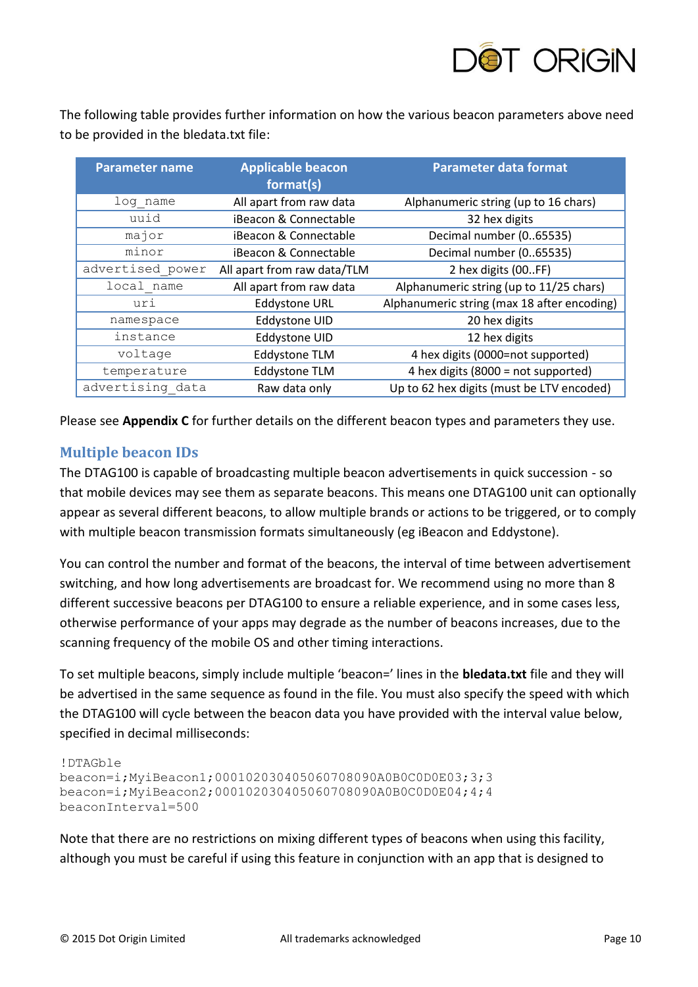

The following table provides further information on how the various beacon parameters above need to be provided in the bledata.txt file:

| <b>Parameter name</b> | <b>Applicable beacon</b><br>format(s) | <b>Parameter data format</b>                |
|-----------------------|---------------------------------------|---------------------------------------------|
| log name              | All apart from raw data               | Alphanumeric string (up to 16 chars)        |
| uuid                  | iBeacon & Connectable                 | 32 hex digits                               |
| major                 | iBeacon & Connectable                 | Decimal number (065535)                     |
| minor                 | iBeacon & Connectable                 | Decimal number (065535)                     |
| advertised power      | All apart from raw data/TLM           | 2 hex digits (00FF)                         |
| local name            | All apart from raw data               | Alphanumeric string (up to 11/25 chars)     |
| uri                   | <b>Eddystone URL</b>                  | Alphanumeric string (max 18 after encoding) |
| namespace             | Eddystone UID                         | 20 hex digits                               |
| instance              | Eddystone UID                         | 12 hex digits                               |
| voltage               | <b>Eddystone TLM</b>                  | 4 hex digits (0000=not supported)           |
| temperature           | <b>Eddystone TLM</b>                  | 4 hex digits (8000 = not supported)         |
| advertising data      | Raw data only                         | Up to 62 hex digits (must be LTV encoded)   |

Please see **Appendix C** for further details on the different beacon types and parameters they use.

### **Multiple beacon IDs**

The DTAG100 is capable of broadcasting multiple beacon advertisements in quick succession - so that mobile devices may see them as separate beacons. This means one DTAG100 unit can optionally appear as several different beacons, to allow multiple brands or actions to be triggered, or to comply with multiple beacon transmission formats simultaneously (eg iBeacon and Eddystone).

You can control the number and format of the beacons, the interval of time between advertisement switching, and how long advertisements are broadcast for. We recommend using no more than 8 different successive beacons per DTAG100 to ensure a reliable experience, and in some cases less, otherwise performance of your apps may degrade as the number of beacons increases, due to the scanning frequency of the mobile OS and other timing interactions.

To set multiple beacons, simply include multiple 'beacon=' lines in the **bledata.txt** file and they will be advertised in the same sequence as found in the file. You must also specify the speed with which the DTAG100 will cycle between the beacon data you have provided with the interval value below, specified in decimal milliseconds:

```
!DTAGble
beacon=i;MyiBeacon1;000102030405060708090A0B0C0D0E03;3;3
beacon=i;MyiBeacon2;000102030405060708090A0B0C0D0E04;4;4
beaconInterval=500
```
Note that there are no restrictions on mixing different types of beacons when using this facility, although you must be careful if using this feature in conjunction with an app that is designed to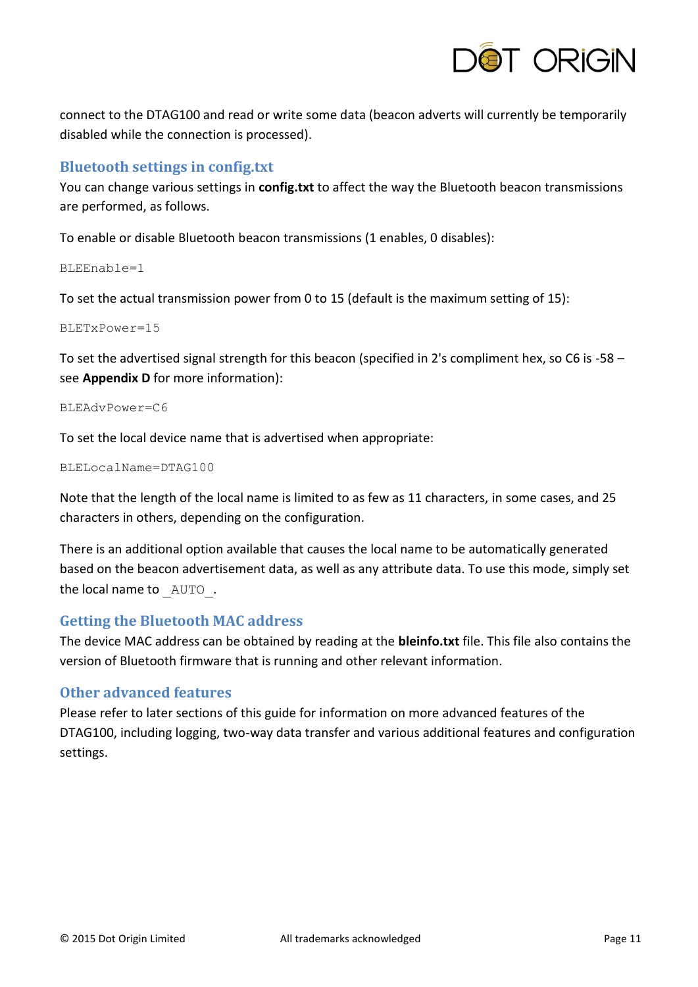

connect to the DTAG100 and read or write some data (beacon adverts will currently be temporarily disabled while the connection is processed).

### **Bluetooth settings in config.txt**

You can change various settings in **config.txt** to affect the way the Bluetooth beacon transmissions are performed, as follows.

To enable or disable Bluetooth beacon transmissions (1 enables, 0 disables):

 $BLEEndable=1$ 

To set the actual transmission power from 0 to 15 (default is the maximum setting of 15):

BLETxPower=15

To set the advertised signal strength for this beacon (specified in 2's compliment hex, so C6 is -58 – see **Appendix D** for more information):

BLEAdvPower=C6

To set the local device name that is advertised when appropriate:

```
BLELocalName=DTAG100
```
Note that the length of the local name is limited to as few as 11 characters, in some cases, and 25 characters in others, depending on the configuration.

There is an additional option available that causes the local name to be automatically generated based on the beacon advertisement data, as well as any attribute data. To use this mode, simply set the local name to  $AUTO$ .

### **Getting the Bluetooth MAC address**

The device MAC address can be obtained by reading at the **bleinfo.txt** file. This file also contains the version of Bluetooth firmware that is running and other relevant information.

### **Other advanced features**

Please refer to later sections of this guide for information on more advanced features of the DTAG100, including logging, two-way data transfer and various additional features and configuration settings.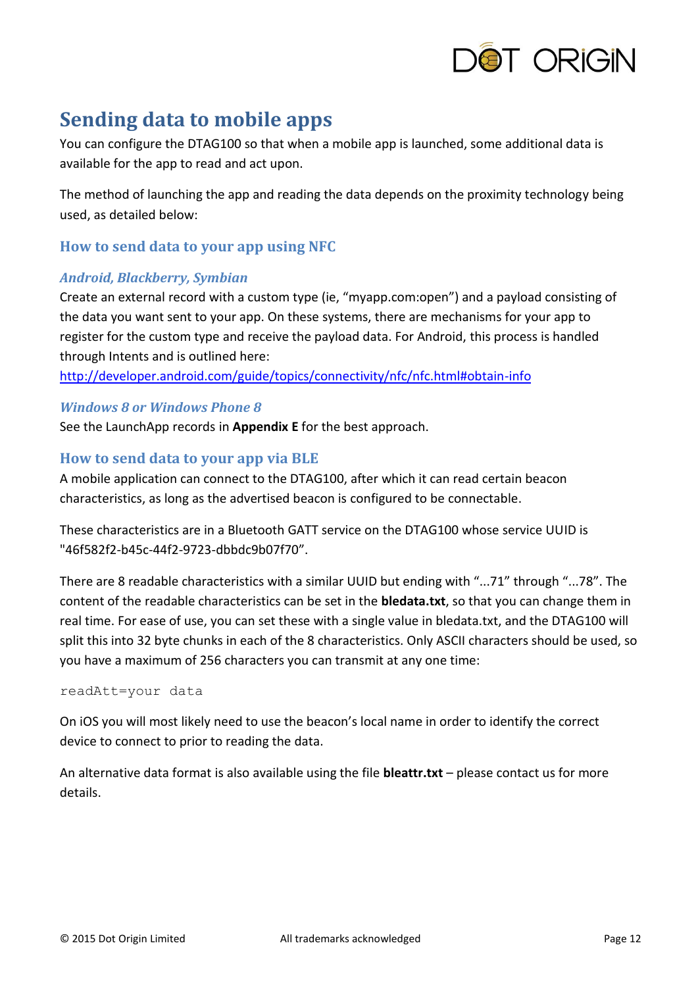

# <span id="page-11-0"></span>**Sending data to mobile apps**

You can configure the DTAG100 so that when a mobile app is launched, some additional data is available for the app to read and act upon.

The method of launching the app and reading the data depends on the proximity technology being used, as detailed below:

### **How to send data to your app using NFC**

#### *Android, Blackberry, Symbian*

Create an external record with a custom type (ie, "myapp.com:open") and a payload consisting of the data you want sent to your app. On these systems, there are mechanisms for your app to register for the custom type and receive the payload data. For Android, this process is handled through Intents and is outlined here:

<http://developer.android.com/guide/topics/connectivity/nfc/nfc.html#obtain-info>

#### *Windows 8 or Windows Phone 8*

See the LaunchApp records in **Appendix E** for the best approach.

### **How to send data to your app via BLE**

A mobile application can connect to the DTAG100, after which it can read certain beacon characteristics, as long as the advertised beacon is configured to be connectable.

These characteristics are in a Bluetooth GATT service on the DTAG100 whose service UUID is "46f582f2-b45c-44f2-9723-dbbdc9b07f70".

There are 8 readable characteristics with a similar UUID but ending with "...71" through "...78". The content of the readable characteristics can be set in the **bledata.txt**, so that you can change them in real time. For ease of use, you can set these with a single value in bledata.txt, and the DTAG100 will split this into 32 byte chunks in each of the 8 characteristics. Only ASCII characters should be used, so you have a maximum of 256 characters you can transmit at any one time:

#### readAtt=your data

On iOS you will most likely need to use the beacon's local name in order to identify the correct device to connect to prior to reading the data.

An alternative data format is also available using the file **bleattr.txt** – please contact us for more details.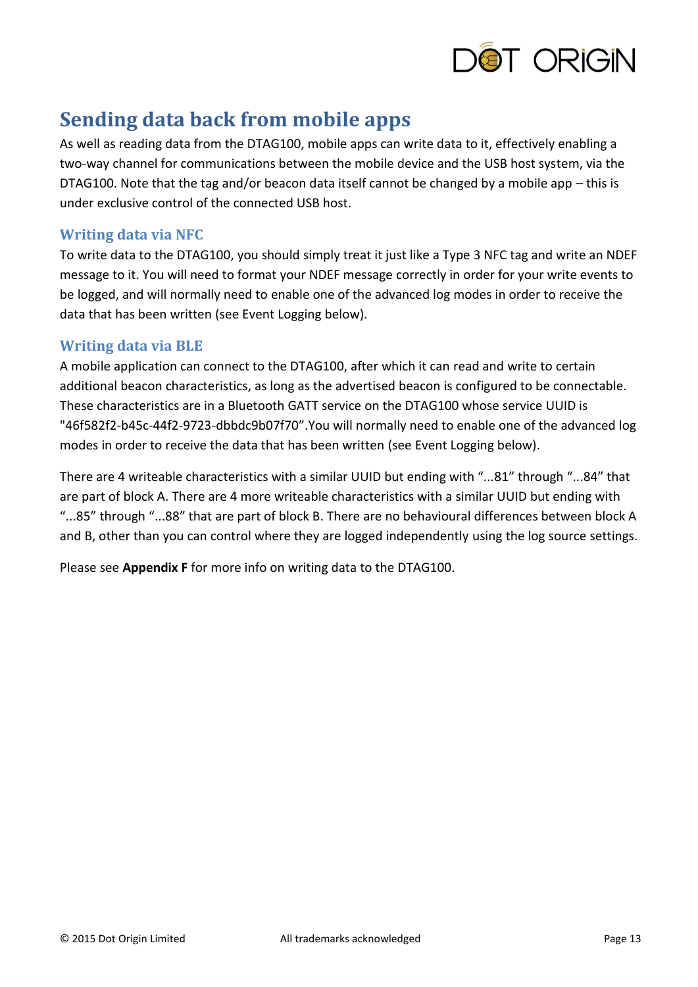

# <span id="page-12-0"></span>**Sending data back from mobile apps**

As well as reading data from the DTAG100, mobile apps can write data to it, effectively enabling a two-way channel for communications between the mobile device and the USB host system, via the DTAG100. Note that the tag and/or beacon data itself cannot be changed by a mobile app – this is under exclusive control of the connected USB host.

## **Writing data via NFC**

To write data to the DTAG100, you should simply treat it just like a Type 3 NFC tag and write an NDEF message to it. You will need to format your NDEF message correctly in order for your write events to be logged, and will normally need to enable one of the advanced log modes in order to receive the data that has been written (see Event Logging below).

### **Writing data via BLE**

A mobile application can connect to the DTAG100, after which it can read and write to certain additional beacon characteristics, as long as the advertised beacon is configured to be connectable. These characteristics are in a Bluetooth GATT service on the DTAG100 whose service UUID is "46f582f2-b45c-44f2-9723-dbbdc9b07f70".You will normally need to enable one of the advanced log modes in order to receive the data that has been written (see Event Logging below).

There are 4 writeable characteristics with a similar UUID but ending with "...81" through "...84" that are part of block A. There are 4 more writeable characteristics with a similar UUID but ending with "...85" through "...88" that are part of block B. There are no behavioural differences between block A and B, other than you can control where they are logged independently using the log source settings.

Please see **Appendix F** for more info on writing data to the DTAG100.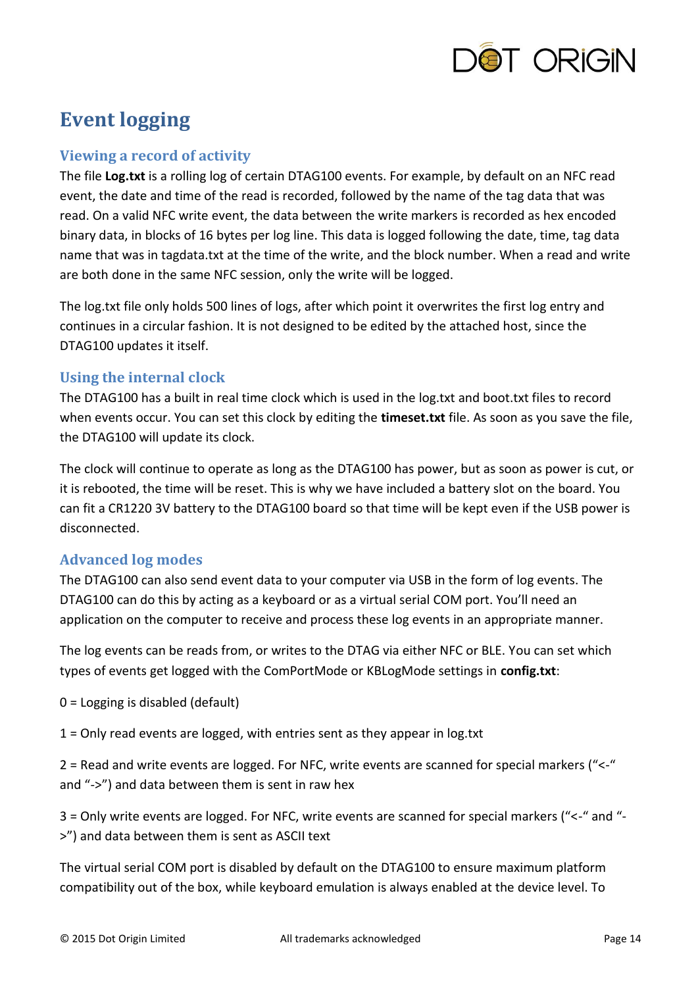

# <span id="page-13-0"></span>**Event logging**

# **Viewing a record of activity**

The file **Log.txt** is a rolling log of certain DTAG100 events. For example, by default on an NFC read event, the date and time of the read is recorded, followed by the name of the tag data that was read. On a valid NFC write event, the data between the write markers is recorded as hex encoded binary data, in blocks of 16 bytes per log line. This data is logged following the date, time, tag data name that was in tagdata.txt at the time of the write, and the block number. When a read and write are both done in the same NFC session, only the write will be logged.

The log.txt file only holds 500 lines of logs, after which point it overwrites the first log entry and continues in a circular fashion. It is not designed to be edited by the attached host, since the DTAG100 updates it itself.

# **Using the internal clock**

The DTAG100 has a built in real time clock which is used in the log.txt and boot.txt files to record when events occur. You can set this clock by editing the **timeset.txt** file. As soon as you save the file, the DTAG100 will update its clock.

The clock will continue to operate as long as the DTAG100 has power, but as soon as power is cut, or it is rebooted, the time will be reset. This is why we have included a battery slot on the board. You can fit a CR1220 3V battery to the DTAG100 board so that time will be kept even if the USB power is disconnected.

# **Advanced log modes**

The DTAG100 can also send event data to your computer via USB in the form of log events. The DTAG100 can do this by acting as a keyboard or as a virtual serial COM port. You'll need an application on the computer to receive and process these log events in an appropriate manner.

The log events can be reads from, or writes to the DTAG via either NFC or BLE. You can set which types of events get logged with the ComPortMode or KBLogMode settings in **config.txt**:

0 = Logging is disabled (default)

1 = Only read events are logged, with entries sent as they appear in log.txt

2 = Read and write events are logged. For NFC, write events are scanned for special markers ("<-" and "->") and data between them is sent in raw hex

3 = Only write events are logged. For NFC, write events are scanned for special markers ("<-" and "- >") and data between them is sent as ASCII text

The virtual serial COM port is disabled by default on the DTAG100 to ensure maximum platform compatibility out of the box, while keyboard emulation is always enabled at the device level. To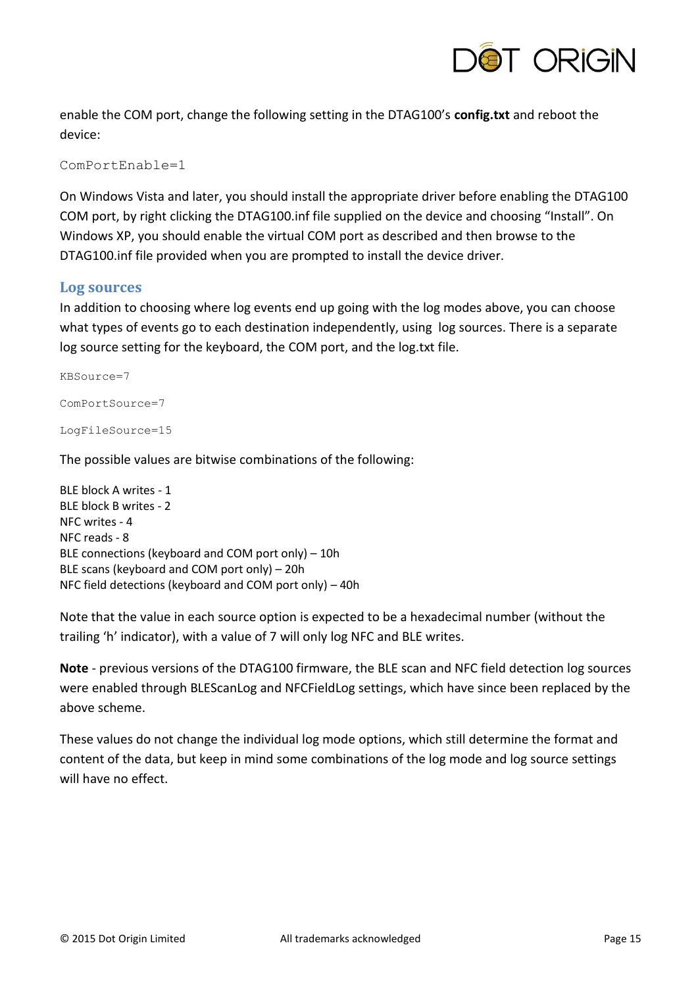

enable the COM port, change the following setting in the DTAG100's **config.txt** and reboot the device:

ComPortEnable=1

On Windows Vista and later, you should install the appropriate driver before enabling the DTAG100 COM port, by right clicking the DTAG100.inf file supplied on the device and choosing "Install". On Windows XP, you should enable the virtual COM port as described and then browse to the DTAG100.inf file provided when you are prompted to install the device driver.

#### **Log sources**

In addition to choosing where log events end up going with the log modes above, you can choose what types of events go to each destination independently, using log sources. There is a separate log source setting for the keyboard, the COM port, and the log.txt file.

```
KBSource=7
ComPortSource=7
LogFileSource=15
```
The possible values are bitwise combinations of the following:

BLE block A writes - 1 BLE block B writes - 2 NFC writes - 4 NFC reads - 8 BLE connections (keyboard and COM port only) – 10h BLE scans (keyboard and COM port only) – 20h NFC field detections (keyboard and COM port only) – 40h

Note that the value in each source option is expected to be a hexadecimal number (without the trailing 'h' indicator), with a value of 7 will only log NFC and BLE writes.

**Note** - previous versions of the DTAG100 firmware, the BLE scan and NFC field detection log sources were enabled through BLEScanLog and NFCFieldLog settings, which have since been replaced by the above scheme.

These values do not change the individual log mode options, which still determine the format and content of the data, but keep in mind some combinations of the log mode and log source settings will have no effect.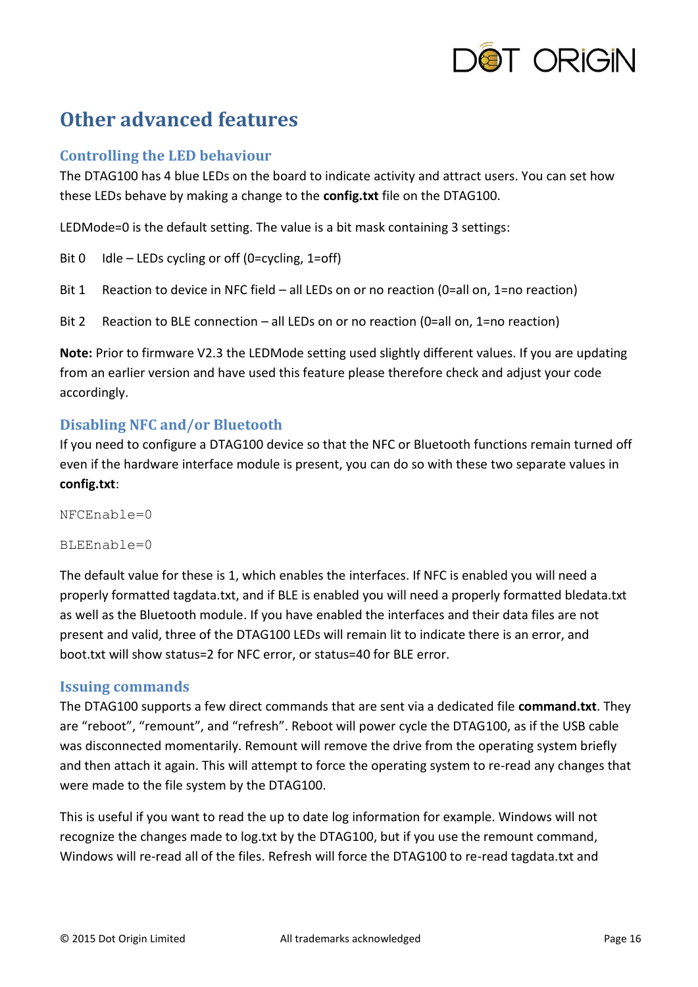

# <span id="page-15-0"></span>**Other advanced features**

### **Controlling the LED behaviour**

The DTAG100 has 4 blue LEDs on the board to indicate activity and attract users. You can set how these LEDs behave by making a change to the **config.txt** file on the DTAG100.

LEDMode=0 is the default setting. The value is a bit mask containing 3 settings:

Bit  $0$  Idle – LEDs cycling or off (0=cycling, 1=off)

- Bit 1 Reaction to device in NFC field all LEDs on or no reaction (0=all on, 1=no reaction)
- Bit 2 Reaction to BLE connection all LEDs on or no reaction (0=all on, 1=no reaction)

**Note:** Prior to firmware V2.3 the LEDMode setting used slightly different values. If you are updating from an earlier version and have used this feature please therefore check and adjust your code accordingly.

### **Disabling NFC and/or Bluetooth**

If you need to configure a DTAG100 device so that the NFC or Bluetooth functions remain turned off even if the hardware interface module is present, you can do so with these two separate values in **config.txt**:

NFCEnable=0

 $BLEE\n 0$ 

The default value for these is 1, which enables the interfaces. If NFC is enabled you will need a properly formatted tagdata.txt, and if BLE is enabled you will need a properly formatted bledata.txt as well as the Bluetooth module. If you have enabled the interfaces and their data files are not present and valid, three of the DTAG100 LEDs will remain lit to indicate there is an error, and boot.txt will show status=2 for NFC error, or status=40 for BLE error.

### **Issuing commands**

The DTAG100 supports a few direct commands that are sent via a dedicated file **command.txt**. They are "reboot", "remount", and "refresh". Reboot will power cycle the DTAG100, as if the USB cable was disconnected momentarily. Remount will remove the drive from the operating system briefly and then attach it again. This will attempt to force the operating system to re-read any changes that were made to the file system by the DTAG100.

This is useful if you want to read the up to date log information for example. Windows will not recognize the changes made to log.txt by the DTAG100, but if you use the remount command, Windows will re-read all of the files. Refresh will force the DTAG100 to re-read tagdata.txt and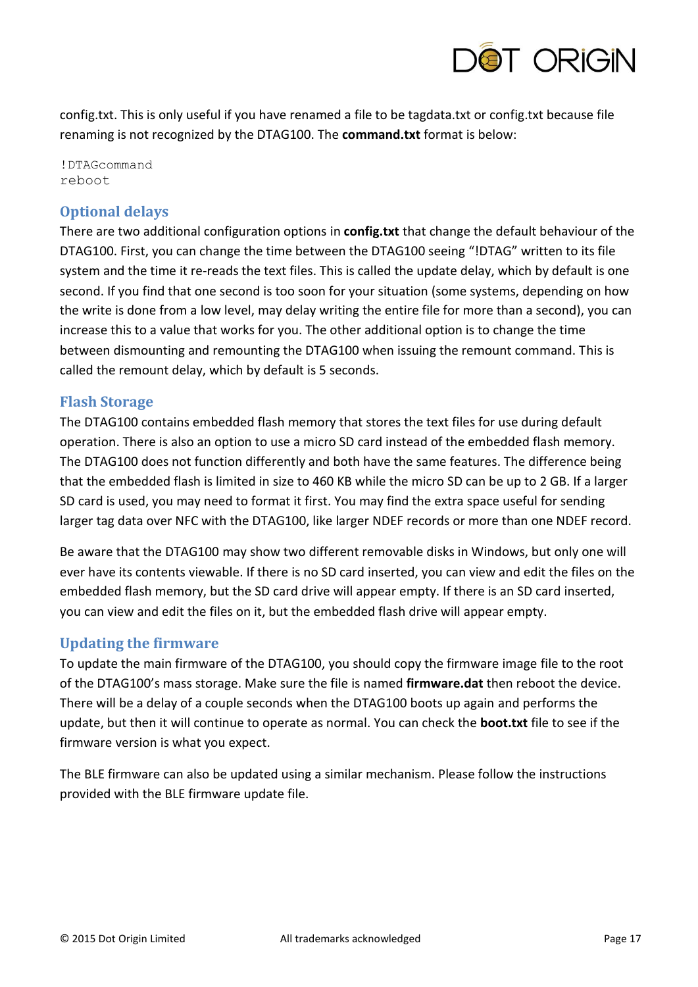

config.txt. This is only useful if you have renamed a file to be tagdata.txt or config.txt because file renaming is not recognized by the DTAG100. The **command.txt** format is below:

!DTAGcommand reboot

# **Optional delays**

There are two additional configuration options in **config.txt** that change the default behaviour of the DTAG100. First, you can change the time between the DTAG100 seeing "!DTAG" written to its file system and the time it re-reads the text files. This is called the update delay, which by default is one second. If you find that one second is too soon for your situation (some systems, depending on how the write is done from a low level, may delay writing the entire file for more than a second), you can increase this to a value that works for you. The other additional option is to change the time between dismounting and remounting the DTAG100 when issuing the remount command. This is called the remount delay, which by default is 5 seconds.

# **Flash Storage**

The DTAG100 contains embedded flash memory that stores the text files for use during default operation. There is also an option to use a micro SD card instead of the embedded flash memory. The DTAG100 does not function differently and both have the same features. The difference being that the embedded flash is limited in size to 460 KB while the micro SD can be up to 2 GB. If a larger SD card is used, you may need to format it first. You may find the extra space useful for sending larger tag data over NFC with the DTAG100, like larger NDEF records or more than one NDEF record.

Be aware that the DTAG100 may show two different removable disks in Windows, but only one will ever have its contents viewable. If there is no SD card inserted, you can view and edit the files on the embedded flash memory, but the SD card drive will appear empty. If there is an SD card inserted, you can view and edit the files on it, but the embedded flash drive will appear empty.

# **Updating the firmware**

To update the main firmware of the DTAG100, you should copy the firmware image file to the root of the DTAG100's mass storage. Make sure the file is named **firmware.dat** then reboot the device. There will be a delay of a couple seconds when the DTAG100 boots up again and performs the update, but then it will continue to operate as normal. You can check the **boot.txt** file to see if the firmware version is what you expect.

The BLE firmware can also be updated using a similar mechanism. Please follow the instructions provided with the BLE firmware update file.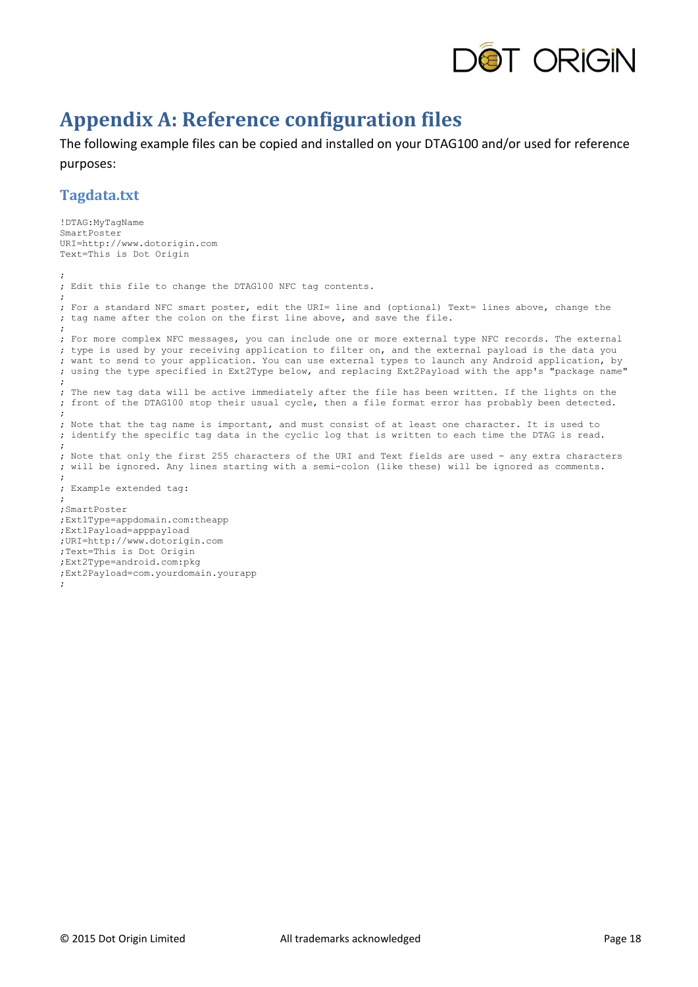

# <span id="page-17-0"></span>**Appendix A: Reference configuration files**

The following example files can be copied and installed on your DTAG100 and/or used for reference purposes:

### **Tagdata.txt**

```
!DTAG:MyTagName
SmartPoster
URI=http://www.dotorigin.com
Text=This is Dot Origin
;
; Edit this file to change the DTAG100 NFC tag contents.
;
; For a standard NFC smart poster, edit the URI= line and (optional) Text= lines above, change the
; tag name after the colon on the first line above, and save the file.
;
; For more complex NFC messages, you can include one or more external type NFC records. The external
; type is used by your receiving application to filter on, and the external payload is the data you
; want to send to your application. You can use external types to launch any Android application, by
; using the type specified in Ext2Type below, and replacing Ext2Payload with the app's "package name"
; 
; The new tag data will be active immediately after the file has been written. If the lights on the
; front of the DTAG100 stop their usual cycle, then a file format error has probably been detected.
;
; Note that the tag name is important, and must consist of at least one character. It is used to
; identify the specific tag data in the cyclic log that is written to each time the DTAG is read.
;
; Note that only the first 255 characters of the URI and Text fields are used - any extra characters
; will be ignored. Any lines starting with a semi-colon (like these) will be ignored as comments.
;
; Example extended tag:
;
;SmartPoster
;Ext1Type=appdomain.com:theapp
;Ext1Payload=apppayload 
;URI=http://www.dotorigin.com
;Text=This is Dot Origin
;Ext2Type=android.com:pkg
;Ext2Payload=com.yourdomain.yourapp 
;
```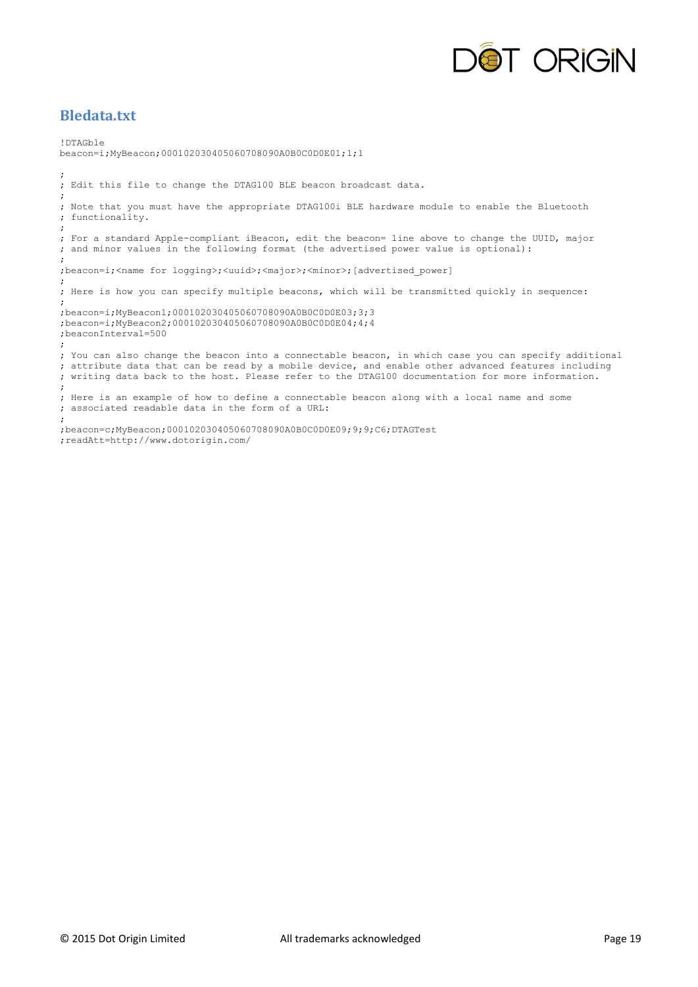

## **Bledata.txt**

!DTAGble beacon=i;MyBeacon;000102030405060708090A0B0C0D0E01;1;1 ; ; Edit this file to change the DTAG100 BLE beacon broadcast data. ; ; Note that you must have the appropriate DTAG100i BLE hardware module to enable the Bluetooth ; functionality. ; ; For a standard Apple-compliant iBeacon, edit the beacon= line above to change the UUID, major ; and minor values in the following format (the advertised power value is optional): ; ;beacon=i;<name for logging>;<uuid>;<major>;<minor>;[advertised\_power] ; ; Here is how you can specify multiple beacons, which will be transmitted quickly in sequence: ; ;beacon=i;MyBeacon1;000102030405060708090A0B0C0D0E03;3;3 ;beacon=i;MyBeacon2;000102030405060708090A0B0C0D0E04;4;4 ;beaconInterval=500 ; ; You can also change the beacon into a connectable beacon, in which case you can specify additional ; attribute data that can be read by a mobile device, and enable other advanced features including ; writing data back to the host. Please refer to the DTAG100 documentation for more information. ; ; Here is an example of how to define a connectable beacon along with a local name and some ; associated readable data in the form of a URL: ; ;beacon=c;MyBeacon;000102030405060708090A0B0C0D0E09;9;9;C6;DTAGTest ;readAtt=http://www.dotorigin.com/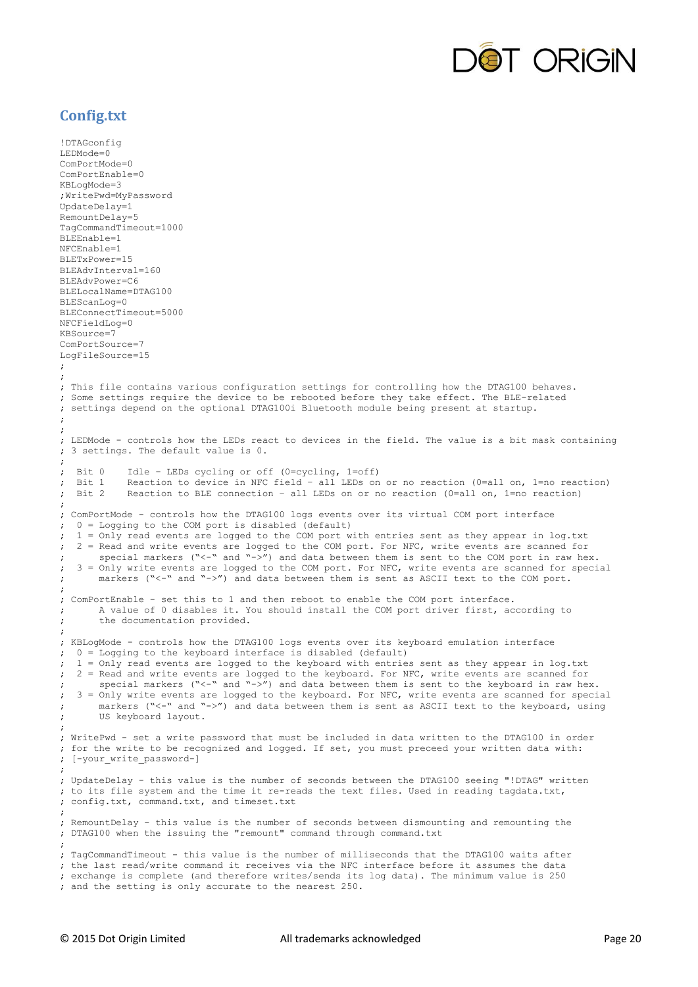

# **Config.txt**

```
!DTAGconfig
LEDMode=0
ComPortMode=0
ComPortEnable=0
KBLogMode=3
;WritePwd=MyPassword
UpdateDelay=1
RemountDelay=5
TagCommandTimeout=1000
BLEEnable=1
NFCEnable=1
BLETxPower=15
BLEAdvInterval=160
BLEAdvPower=C6
BLELocalName=DTAG100
BLEScanLog=0
BLEConnectTimeout=5000
NFCFieldLog=0
KBSource=7
ComPortSource=7
LogFileSource=15
;
;
; This file contains various configuration settings for controlling how the DTAG100 behaves.
; Some settings require the device to be rebooted before they take effect. The BLE-related
; settings depend on the optional DTAG100i Bluetooth module being present at startup.
;
;
; LEDMode - controls how the LEDs react to devices in the field. The value is a bit mask containing
; 3 settings. The default value is 0.
; 
; Bit 0 Idle – LEDs cycling or off (0=cycling, 1=off)
; Bit 1 Reaction to device in NFC field – all LEDs on or no reaction (0=all on, 1=no reaction)
; Bit 2 Reaction to BLE connection – all LEDs on or no reaction (0=all on, 1=no reaction)
;
; ComPortMode - controls how the DTAG100 logs events over its virtual COM port interface
; 0 = Logging to the COM port is disabled (default)
  i = Only read events are logged to the COM port with entries sent as they appear in log.txt
; 2 = Read and write events are logged to the COM port. For NFC, write events are scanned for
; special markers ("<-" and "->") and data between them is sent to the COM port in raw hex.
; 3 = Only write events are logged to the COM port. For NFC, write events are scanned for special
      markers ("<-" and "->") and data between them is sent as ASCII text to the COM port.
;
; ComPortEnable - set this to 1 and then reboot to enable the COM port interface. 
; A value of 0 disables it. You should install the COM port driver first, according to
      the documentation provided.
;
; KBLogMode - controls how the DTAG100 logs events over its keyboard emulation interface
; 0 = Logging to the keyboard interface is disabled (default)
; 1 = Only read events are logged to the keyboard with entries sent as they appear in log.txt
; 2 = Read and write events are logged to the keyboard. For NFC, write events are scanned for
; special markers ("<-" and "->") and data between them is sent to the keyboard in raw hex.
; 3 = Only write events are logged to the keyboard. For NFC, write events are scanned for special
; markers ("<-" and "->") and data between them is sent as ASCII text to the keyboard, using
      US keyboard layout.
;
; WritePwd - set a write password that must be included in data written to the DTAG100 in order
; for the write to be recognized and logged. If set, you must preceed your written data with:
; [-your_write_password-]
; 
; UpdateDelay - this value is the number of seconds between the DTAG100 seeing "!DTAG" written
; to its file system and the time it re-reads the text files. Used in reading tagdata.txt, 
; config.txt, command.txt, and timeset.txt
;
; RemountDelay - this value is the number of seconds between dismounting and remounting the
; DTAG100 when the issuing the "remount" command through command.txt 
;
; TagCommandTimeout - this value is the number of milliseconds that the DTAG100 waits after
; the last read/write command it receives via the NFC interface before it assumes the data
; exchange is complete (and therefore writes/sends its log data). The minimum value is 250
; and the setting is only accurate to the nearest 250.
```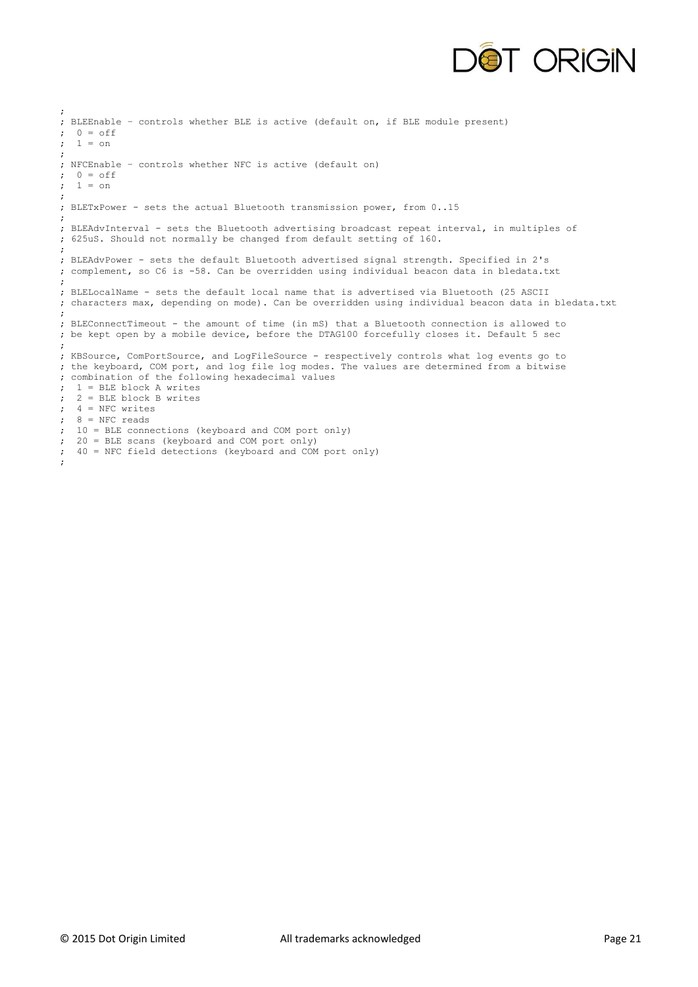

```
;
; BLEEnable – controls whether BLE is active (default on, if BLE module present)
; 0 = off; 1 = on;
; NFCEnable – controls whether NFC is active (default on)
\div 0 = off
; 1 = on;
; BLETxPower - sets the actual Bluetooth transmission power, from 0..15
;
; BLEAdvInterval - sets the Bluetooth advertising broadcast repeat interval, in multiples of
; 625uS. Should not normally be changed from default setting of 160.
; 
; BLEAdvPower - sets the default Bluetooth advertised signal strength. Specified in 2's
; complement, so C6 is -58. Can be overridden using individual beacon data in bledata.txt
;
; BLELocalName - sets the default local name that is advertised via Bluetooth (25 ASCII
; characters max, depending on mode). Can be overridden using individual beacon data in bledata.txt
;
; BLEConnectTimeout - the amount of time (in mS) that a Bluetooth connection is allowed to
; be kept open by a mobile device, before the DTAG100 forcefully closes it. Default 5 sec
;
; KBSource, ComPortSource, and LogFileSource - respectively controls what log events go to
; the keyboard, COM port, and log file log modes. The values are determined from a bitwise
; combination of the following hexadecimal values
; 1 = BLE block A writes
; 2 = BLE block B writes
; 4 = NFC writes
; 8 = \text{NFC reads}; 10 = BLE connections (keyboard and COM port only)
; 20 = BLE scans (keyboard and COM port only)
; 40 = NFC field detections (keyboard and COM port only)
;
```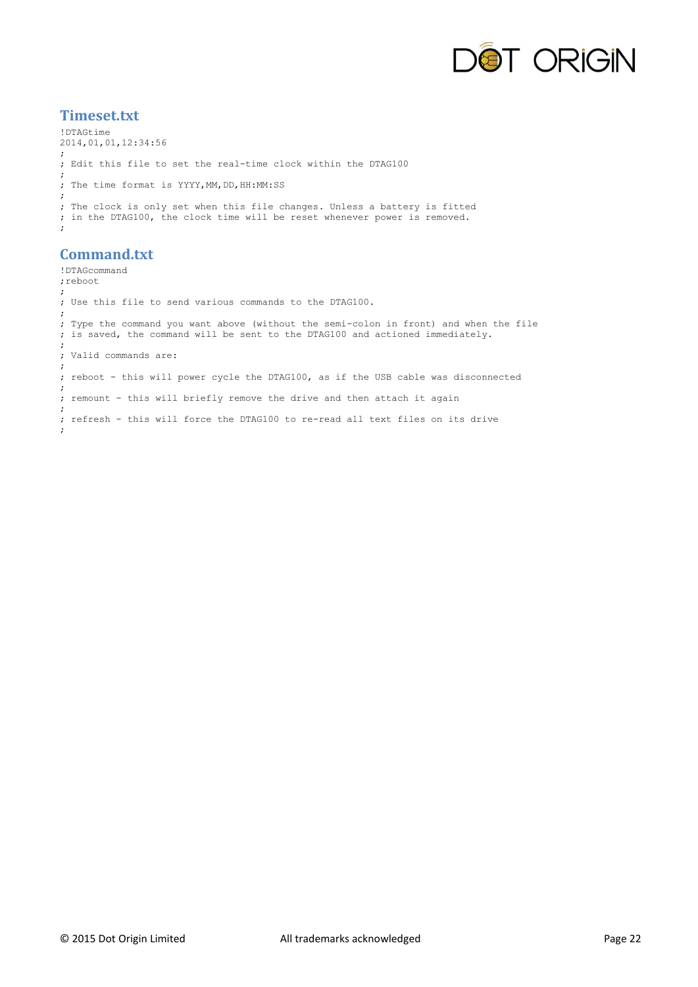

## **Timeset.txt**

```
!DTAGtime
2014,01,01,12:34:56
;
; Edit this file to set the real-time clock within the DTAG100
; 
; The time format is YYYY,MM,DD,HH:MM:SS
;
; The clock is only set when this file changes. Unless a battery is fitted
; in the DTAG100, the clock time will be reset whenever power is removed.
;
```
# **Command.txt**

!DTAGcommand ;reboot ; ; Use this file to send various commands to the DTAG100. ; ; Type the command you want above (without the semi-colon in front) and when the file ; is saved, the command will be sent to the DTAG100 and actioned immediately. ; ; Valid commands are: ; ; reboot - this will power cycle the DTAG100, as if the USB cable was disconnected ; ; remount - this will briefly remove the drive and then attach it again ; ; refresh - this will force the DTAG100 to re-read all text files on its drive ;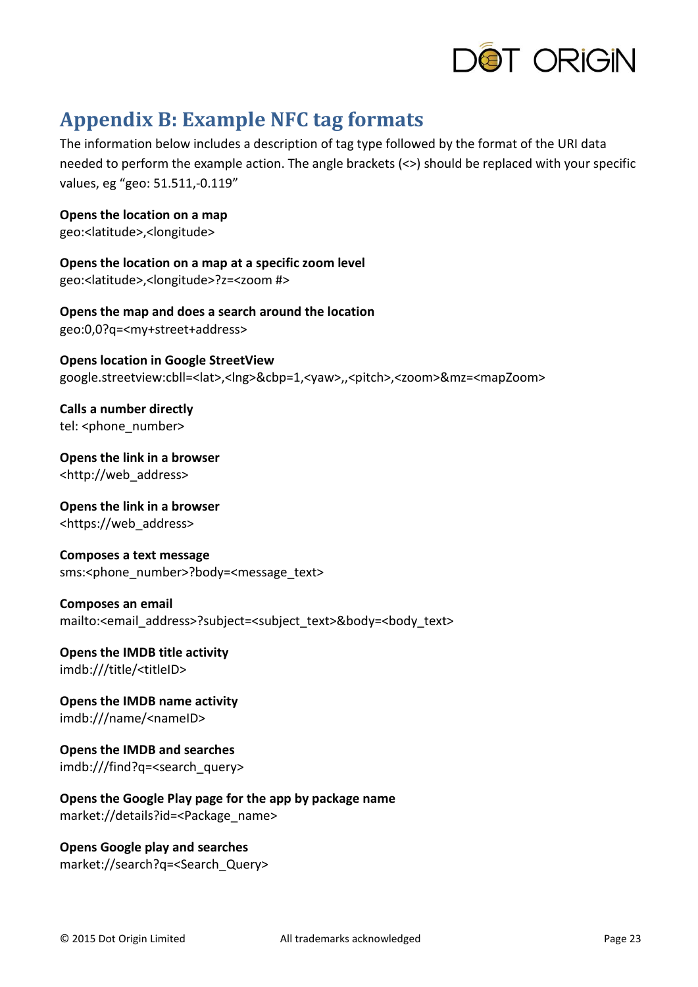

# <span id="page-22-0"></span>**Appendix B: Example NFC tag formats**

The information below includes a description of tag type followed by the format of the URI data needed to perform the example action. The angle brackets (<>) should be replaced with your specific values, eg "geo: 51.511,-0.119"

**Opens the location on a map** geo:<latitude>,<longitude>

**Opens the location on a map at a specific zoom level** geo:<latitude>,<longitude>?z=<zoom #>

**Opens the map and does a search around the location** geo:0,0?q=<my+street+address>

**Opens location in Google StreetView** google.streetview:cbll=<lat>,<lng>&cbp=1,<yaw>,,<pitch>,<zoom>&mz=<mapZoom>

**Calls a number directly** tel: <phone\_number>

**Opens the link in a browser** <http://web\_address>

**Opens the link in a browser** <https://web\_address>

**Composes a text message** sms:<phone\_number>?body=<message\_text>

**Composes an email** mailto:<email\_address>?subject=<subject\_text>&body=<body\_text>

**Opens the IMDB title activity** imdb:///title/<titleID>

**Opens the IMDB name activity** imdb:///name/<nameID>

**Opens the IMDB and searches** imdb:///find?q=<search\_query>

**Opens the Google Play page for the app by package name** market://details?id=<Package\_name>

**Opens Google play and searches** market://search?q=<Search\_Query>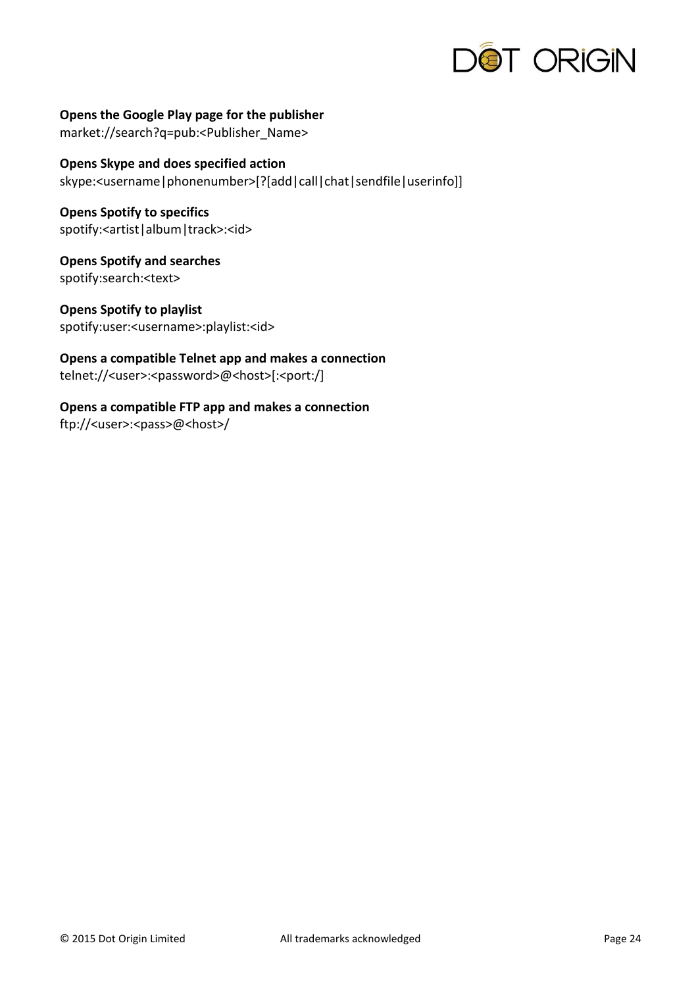

**Opens the Google Play page for the publisher** market://search?q=pub:<Publisher\_Name>

**Opens Skype and does specified action** skype:<username|phonenumber>[?[add|call|chat|sendfile|userinfo]]

**Opens Spotify to specifics** spotify:<artist|album|track>:<id>

**Opens Spotify and searches** spotify:search:<text>

**Opens Spotify to playlist** spotify:user:<username>:playlist:<id>

**Opens a compatible Telnet app and makes a connection** telnet://<user>:<password>@<host>[:<port:/]

**Opens a compatible FTP app and makes a connection** ftp://<user>:<pass>@<host>/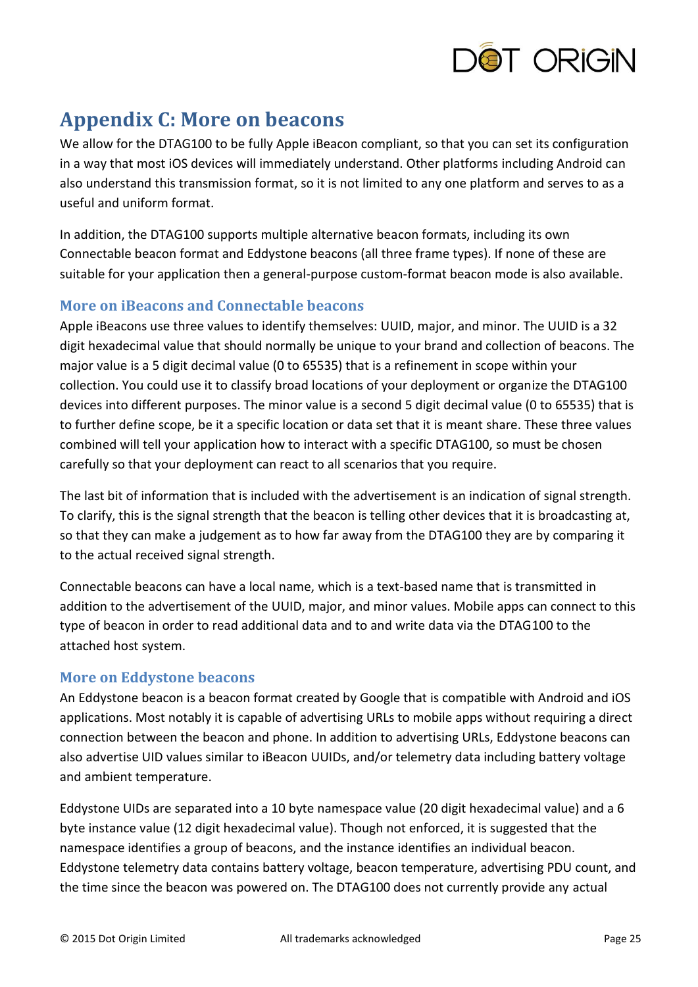

# <span id="page-24-0"></span>**Appendix C: More on beacons**

We allow for the DTAG100 to be fully Apple iBeacon compliant, so that you can set its configuration in a way that most iOS devices will immediately understand. Other platforms including Android can also understand this transmission format, so it is not limited to any one platform and serves to as a useful and uniform format.

In addition, the DTAG100 supports multiple alternative beacon formats, including its own Connectable beacon format and Eddystone beacons (all three frame types). If none of these are suitable for your application then a general-purpose custom-format beacon mode is also available.

### **More on iBeacons and Connectable beacons**

Apple iBeacons use three values to identify themselves: UUID, major, and minor. The UUID is a 32 digit hexadecimal value that should normally be unique to your brand and collection of beacons. The major value is a 5 digit decimal value (0 to 65535) that is a refinement in scope within your collection. You could use it to classify broad locations of your deployment or organize the DTAG100 devices into different purposes. The minor value is a second 5 digit decimal value (0 to 65535) that is to further define scope, be it a specific location or data set that it is meant share. These three values combined will tell your application how to interact with a specific DTAG100, so must be chosen carefully so that your deployment can react to all scenarios that you require.

The last bit of information that is included with the advertisement is an indication of signal strength. To clarify, this is the signal strength that the beacon is telling other devices that it is broadcasting at, so that they can make a judgement as to how far away from the DTAG100 they are by comparing it to the actual received signal strength.

Connectable beacons can have a local name, which is a text-based name that is transmitted in addition to the advertisement of the UUID, major, and minor values. Mobile apps can connect to this type of beacon in order to read additional data and to and write data via the DTAG100 to the attached host system.

### **More on Eddystone beacons**

An Eddystone beacon is a beacon format created by Google that is compatible with Android and iOS applications. Most notably it is capable of advertising URLs to mobile apps without requiring a direct connection between the beacon and phone. In addition to advertising URLs, Eddystone beacons can also advertise UID values similar to iBeacon UUIDs, and/or telemetry data including battery voltage and ambient temperature.

Eddystone UIDs are separated into a 10 byte namespace value (20 digit hexadecimal value) and a 6 byte instance value (12 digit hexadecimal value). Though not enforced, it is suggested that the namespace identifies a group of beacons, and the instance identifies an individual beacon. Eddystone telemetry data contains battery voltage, beacon temperature, advertising PDU count, and the time since the beacon was powered on. The DTAG100 does not currently provide any actual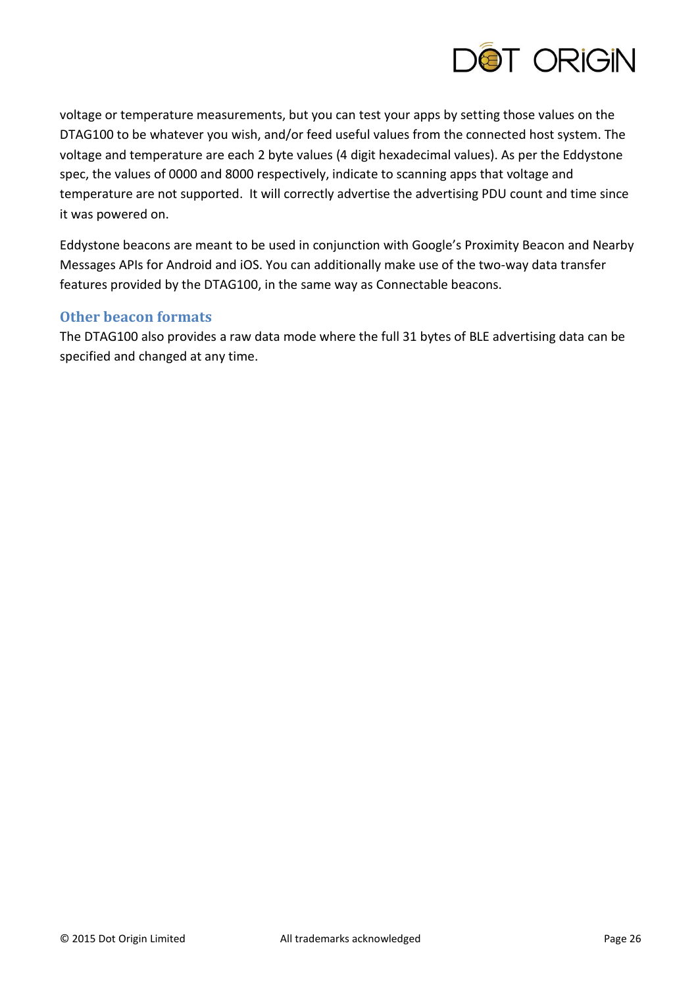

voltage or temperature measurements, but you can test your apps by setting those values on the DTAG100 to be whatever you wish, and/or feed useful values from the connected host system. The voltage and temperature are each 2 byte values (4 digit hexadecimal values). As per the Eddystone spec, the values of 0000 and 8000 respectively, indicate to scanning apps that voltage and temperature are not supported. It will correctly advertise the advertising PDU count and time since it was powered on.

Eddystone beacons are meant to be used in conjunction with Google's Proximity Beacon and Nearby Messages APIs for Android and iOS. You can additionally make use of the two-way data transfer features provided by the DTAG100, in the same way as Connectable beacons.

### **Other beacon formats**

The DTAG100 also provides a raw data mode where the full 31 bytes of BLE advertising data can be specified and changed at any time.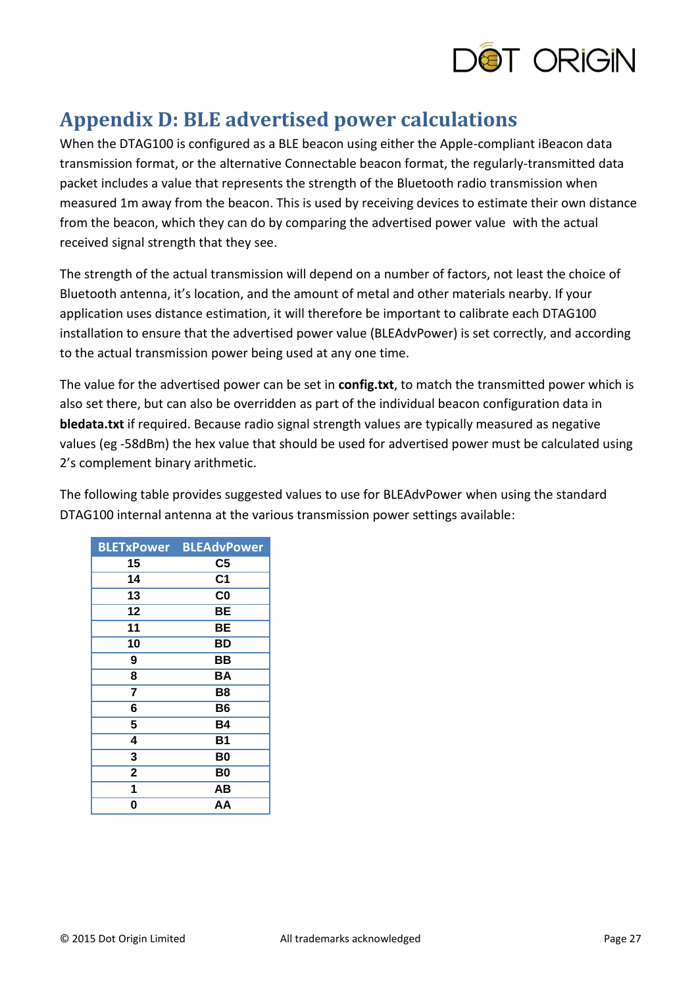

# <span id="page-26-0"></span>**Appendix D: BLE advertised power calculations**

When the DTAG100 is configured as a BLE beacon using either the Apple-compliant iBeacon data transmission format, or the alternative Connectable beacon format, the regularly-transmitted data packet includes a value that represents the strength of the Bluetooth radio transmission when measured 1m away from the beacon. This is used by receiving devices to estimate their own distance from the beacon, which they can do by comparing the advertised power value with the actual received signal strength that they see.

The strength of the actual transmission will depend on a number of factors, not least the choice of Bluetooth antenna, it's location, and the amount of metal and other materials nearby. If your application uses distance estimation, it will therefore be important to calibrate each DTAG100 installation to ensure that the advertised power value (BLEAdvPower) is set correctly, and according to the actual transmission power being used at any one time.

The value for the advertised power can be set in **config.txt**, to match the transmitted power which is also set there, but can also be overridden as part of the individual beacon configuration data in **bledata.txt** if required. Because radio signal strength values are typically measured as negative values (eg -58dBm) the hex value that should be used for advertised power must be calculated using 2's complement binary arithmetic.

The following table provides suggested values to use for BLEAdvPower when using the standard DTAG100 internal antenna at the various transmission power settings available:

| <b>BLETxPower</b> | <b>BLEAdvPower</b> |
|-------------------|--------------------|
| 15                | C5                 |
| 14                | C <sub>1</sub>     |
| 13                | C <sub>0</sub>     |
| 12                | BЕ                 |
| 11                | BЕ                 |
| 10                | ВD                 |
| 9                 | BВ                 |
| 8                 | ΒA                 |
| 7                 | B8                 |
| 6                 | B6                 |
| 5                 | Β4                 |
| 4                 | Β1                 |
| 3                 | B0                 |
| $\overline{2}$    | B0                 |
| 1                 | AВ                 |
| 0                 | ΑA                 |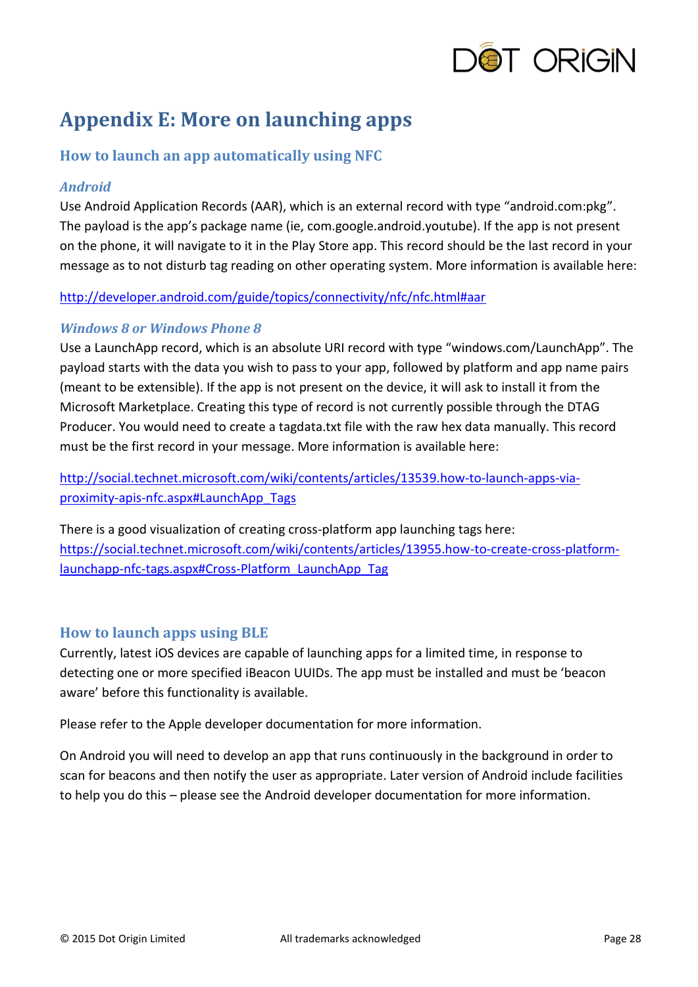

# <span id="page-27-0"></span>**Appendix E: More on launching apps**

# **How to launch an app automatically using NFC**

#### *Android*

Use Android Application Records (AAR), which is an external record with type "android.com:pkg". The payload is the app's package name (ie, com.google.android.youtube). If the app is not present on the phone, it will navigate to it in the Play Store app. This record should be the last record in your message as to not disturb tag reading on other operating system. More information is available here:

#### <http://developer.android.com/guide/topics/connectivity/nfc/nfc.html#aar>

#### *Windows 8 or Windows Phone 8*

Use a LaunchApp record, which is an absolute URI record with type "windows.com/LaunchApp". The payload starts with the data you wish to pass to your app, followed by platform and app name pairs (meant to be extensible). If the app is not present on the device, it will ask to install it from the Microsoft Marketplace. Creating this type of record is not currently possible through the DTAG Producer. You would need to create a tagdata.txt file with the raw hex data manually. This record must be the first record in your message. More information is available here:

[http://social.technet.microsoft.com/wiki/contents/articles/13539.how-to-launch-apps-via](http://social.technet.microsoft.com/wiki/contents/articles/13539.how-to-launch-apps-via-proximity-apis-nfc.aspx#LaunchApp_Tags)[proximity-apis-nfc.aspx#LaunchApp\\_Tags](http://social.technet.microsoft.com/wiki/contents/articles/13539.how-to-launch-apps-via-proximity-apis-nfc.aspx#LaunchApp_Tags)

There is a good visualization of creating cross-platform app launching tags here: [https://social.technet.microsoft.com/wiki/contents/articles/13955.how-to-create-cross-platform](https://social.technet.microsoft.com/wiki/contents/articles/13955.how-to-create-cross-platform-launchapp-nfc-tags.aspx#Cross-Platform_LaunchApp_Tag)[launchapp-nfc-tags.aspx#Cross-Platform\\_LaunchApp\\_Tag](https://social.technet.microsoft.com/wiki/contents/articles/13955.how-to-create-cross-platform-launchapp-nfc-tags.aspx#Cross-Platform_LaunchApp_Tag)

### **How to launch apps using BLE**

Currently, latest iOS devices are capable of launching apps for a limited time, in response to detecting one or more specified iBeacon UUIDs. The app must be installed and must be 'beacon aware' before this functionality is available.

Please refer to the Apple developer documentation for more information.

On Android you will need to develop an app that runs continuously in the background in order to scan for beacons and then notify the user as appropriate. Later version of Android include facilities to help you do this – please see the Android developer documentation for more information.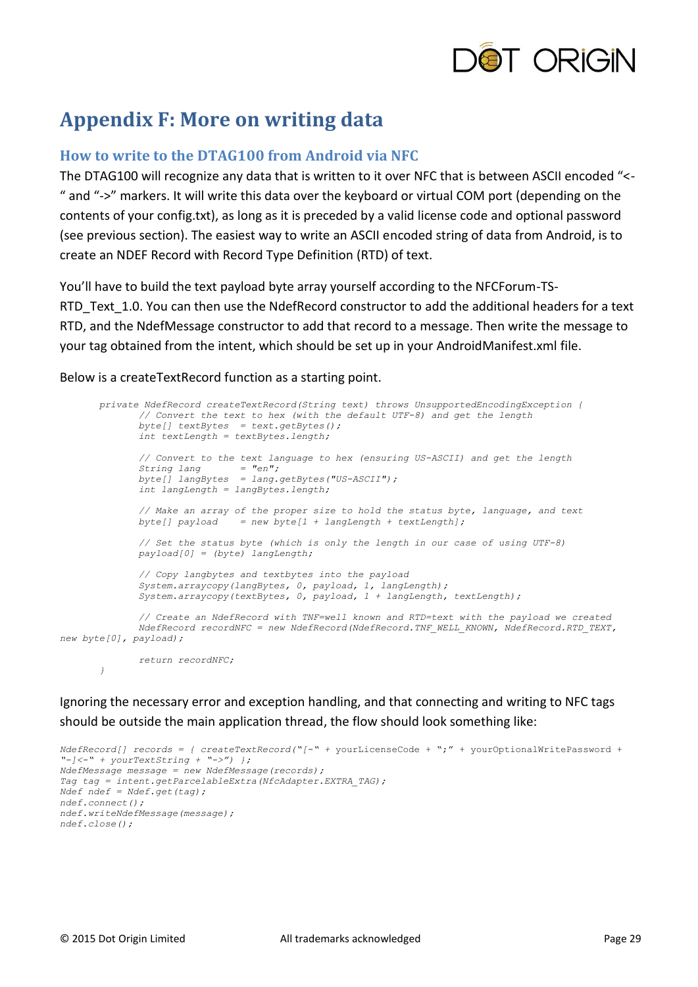

# <span id="page-28-0"></span>**Appendix F: More on writing data**

### **How to write to the DTAG100 from Android via NFC**

The DTAG100 will recognize any data that is written to it over NFC that is between ASCII encoded "<- " and "->" markers. It will write this data over the keyboard or virtual COM port (depending on the contents of your config.txt), as long as it is preceded by a valid license code and optional password (see previous section). The easiest way to write an ASCII encoded string of data from Android, is to create an NDEF Record with Record Type Definition (RTD) of text.

You'll have to build the text payload byte array yourself according to the NFCForum-TS-RTD Text 1.0. You can then use the NdefRecord constructor to add the additional headers for a text RTD, and the NdefMessage constructor to add that record to a message. Then write the message to your tag obtained from the intent, which should be set up in your AndroidManifest.xml file.

Below is a createTextRecord function as a starting point.

 *private NdefRecord createTextRecord(String text) throws UnsupportedEncodingException { // Convert the text to hex (with the default UTF-8) and get the length byte[] textBytes = text.getBytes(); int textLength = textBytes.length; // Convert to the text language to hex (ensuring US-ASCII) and get the length String lang = "en"; byte[] langBytes = lang.getBytes("US-ASCII"); int langLength = langBytes.length; // Make an array of the proper size to hold the status byte, language, and text byte[] payload = new byte[1 + langLength + textLength]; // Set the status byte (which is only the length in our case of using UTF-8) payload[0] = (byte) langLength; // Copy langbytes and textbytes into the payload System.arraycopy(langBytes, 0, payload, 1, langLength); System.arraycopy(textBytes, 0, payload, 1 + langLength, textLength); // Create an NdefRecord with TNF=well known and RTD=text with the payload we created NdefRecord recordNFC = new NdefRecord(NdefRecord.TNF\_WELL\_KNOWN, NdefRecord.RTD\_TEXT, new byte[0], payload); return recordNFC; }*

Ignoring the necessary error and exception handling, and that connecting and writing to NFC tags should be outside the main application thread, the flow should look something like:

```
NdefRecord[] records = { createTextRecord("[-" + yourLicenseCode + ";" + yourOptionalWritePassword + 
"-]<-" + yourTextString + "->") };
NdefMessage message = new NdefMessage(records);
Tag tag = intent.getParcelableExtra(NfcAdapter.EXTRA_TAG);
Ndef ndef = Ndef.get(tag);
ndef.connect();
ndef.writeNdefMessage(message);
ndef.close();
```